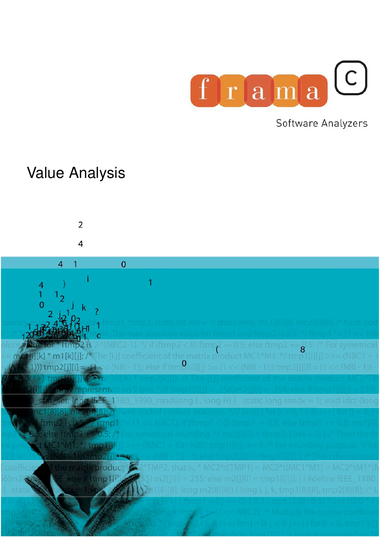

# Software Analyzers

# Value Analysis

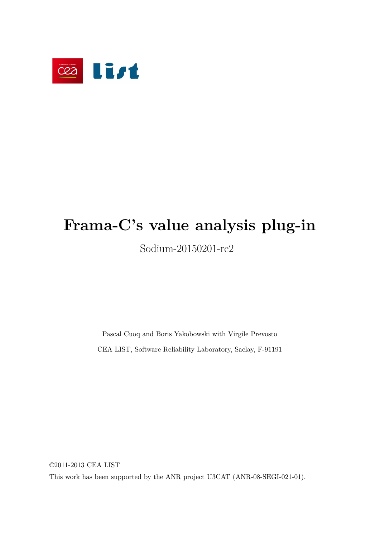

# **Frama-C's value analysis plug-in**

Sodium-20150201-rc2

Pascal Cuoq and Boris Yakobowski with Virgile Prevosto CEA LIST, Software Reliability Laboratory, Saclay, F-91191

©2011-2013 CEA LIST This work has been supported by the ANR project U3CAT (ANR-08-SEGI-021-01).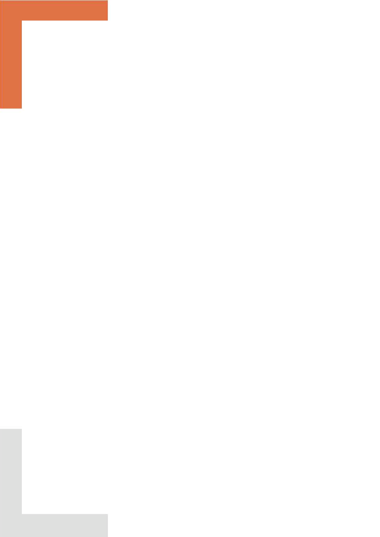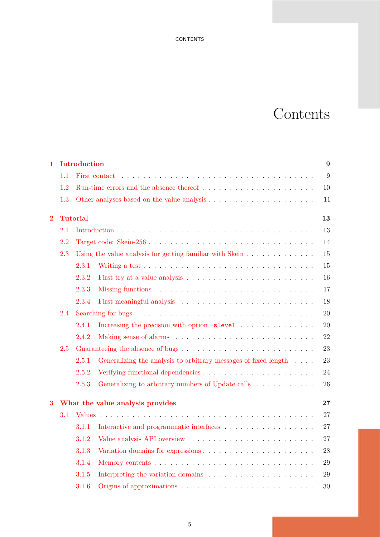# **Contents**

| 1        | Introduction<br>$9\phantom{.}$         |                                                          |                                                                                               |        |  |  |  |  |
|----------|----------------------------------------|----------------------------------------------------------|-----------------------------------------------------------------------------------------------|--------|--|--|--|--|
|          | 1.1                                    | 9<br>First contact                                       |                                                                                               |        |  |  |  |  |
|          | 1.2                                    |                                                          | 10                                                                                            |        |  |  |  |  |
|          | 1.3                                    |                                                          |                                                                                               |        |  |  |  |  |
| $\bf{2}$ | <b>Tutorial</b><br>13                  |                                                          |                                                                                               |        |  |  |  |  |
|          | 2.1                                    |                                                          |                                                                                               |        |  |  |  |  |
|          | 2.2                                    | 14                                                       |                                                                                               |        |  |  |  |  |
|          | 2.3                                    | Using the value analysis for getting familiar with Skein |                                                                                               |        |  |  |  |  |
|          |                                        | 2.3.1                                                    | Writing a test $\ldots \ldots \ldots \ldots \ldots \ldots \ldots \ldots \ldots \ldots \ldots$ | 15     |  |  |  |  |
|          |                                        | 2.3.2                                                    |                                                                                               | 16     |  |  |  |  |
|          |                                        | 2.3.3                                                    |                                                                                               | 17     |  |  |  |  |
|          |                                        | 2.3.4                                                    |                                                                                               | 18     |  |  |  |  |
|          | 2.4                                    |                                                          |                                                                                               | 20     |  |  |  |  |
|          |                                        | 2.4.1                                                    | Increasing the precision with option -slevel                                                  | 20     |  |  |  |  |
|          |                                        | 2.4.2                                                    |                                                                                               | 22     |  |  |  |  |
|          | 2.5                                    |                                                          |                                                                                               | 23     |  |  |  |  |
|          |                                        | 2.5.1                                                    | Generalizing the analysis to arbitrary messages of fixed length                               | 23     |  |  |  |  |
|          |                                        | 2.5.2                                                    |                                                                                               | 24     |  |  |  |  |
|          |                                        | 2.5.3                                                    | Generalizing to arbitrary numbers of Update calls                                             | 26     |  |  |  |  |
| 3        | What the value analysis provides<br>27 |                                                          |                                                                                               |        |  |  |  |  |
|          | 3.1                                    | Values                                                   |                                                                                               | 27     |  |  |  |  |
|          |                                        | 3.1.1                                                    |                                                                                               | 27     |  |  |  |  |
|          |                                        | 3.1.2                                                    |                                                                                               | 27     |  |  |  |  |
|          |                                        | 3.1.3                                                    |                                                                                               | 28     |  |  |  |  |
|          |                                        | 3.1.4                                                    |                                                                                               | 29     |  |  |  |  |
|          |                                        | 3.1.5                                                    |                                                                                               | 29     |  |  |  |  |
|          |                                        | 3.1.6                                                    |                                                                                               | $30\,$ |  |  |  |  |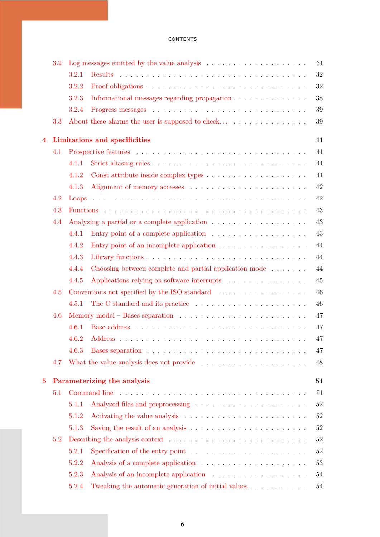### CONTENTS

|          | 3.2 |                                     | Log messages emitted by the value analysis $\dots \dots \dots \dots \dots \dots \dots$     | $31\,$ |  |  |  |  |
|----------|-----|-------------------------------------|--------------------------------------------------------------------------------------------|--------|--|--|--|--|
|          |     | 3.2.1                               |                                                                                            | 32     |  |  |  |  |
|          |     | 3.2.2                               |                                                                                            | 32     |  |  |  |  |
|          |     | 3.2.3                               | Informational messages regarding propagation                                               | 38     |  |  |  |  |
|          |     | 3.2.4                               |                                                                                            | 39     |  |  |  |  |
|          | 3.3 |                                     |                                                                                            | 39     |  |  |  |  |
| 4        |     | Limitations and specificities<br>41 |                                                                                            |        |  |  |  |  |
|          | 4.1 |                                     |                                                                                            | 41     |  |  |  |  |
|          |     | 4.1.1                               |                                                                                            | 41     |  |  |  |  |
|          |     | 4.1.2                               |                                                                                            | 41     |  |  |  |  |
|          |     | 4.1.3                               |                                                                                            | 42     |  |  |  |  |
|          | 4.2 |                                     |                                                                                            | 42     |  |  |  |  |
|          | 4.3 |                                     |                                                                                            | 43     |  |  |  |  |
|          | 4.4 |                                     |                                                                                            | 43     |  |  |  |  |
|          |     | 4.4.1                               | Entry point of a complete application $\ldots \ldots \ldots \ldots \ldots \ldots$          | 43     |  |  |  |  |
|          |     | 4.4.2                               | Entry point of an incomplete application $\ldots$ ,                                        | 44     |  |  |  |  |
|          |     | 4.4.3                               |                                                                                            | 44     |  |  |  |  |
|          |     | 4.4.4                               | Choosing between complete and partial application mode                                     | 44     |  |  |  |  |
|          |     | 4.4.5                               | Applications relying on software interrupts                                                | 45     |  |  |  |  |
|          | 4.5 |                                     |                                                                                            | 46     |  |  |  |  |
|          |     | 4.5.1                               | The C standard and its practice $\ldots \ldots \ldots \ldots \ldots \ldots \ldots$         | 46     |  |  |  |  |
|          | 4.6 |                                     |                                                                                            | 47     |  |  |  |  |
|          |     | 4.6.1                               |                                                                                            | 47     |  |  |  |  |
|          |     | 4.6.2                               |                                                                                            | 47     |  |  |  |  |
|          |     | 4.6.3                               |                                                                                            | 47     |  |  |  |  |
|          | 4.7 |                                     | What the value analysis does not provide $\ldots \ldots \ldots \ldots \ldots \ldots$       | 48     |  |  |  |  |
| $\bf{5}$ |     |                                     | Parameterizing the analysis                                                                | 51     |  |  |  |  |
|          | 5.1 |                                     | Command line                                                                               | 51     |  |  |  |  |
|          |     | 5.1.1                               |                                                                                            | 52     |  |  |  |  |
|          |     | 5.1.2                               |                                                                                            | 52     |  |  |  |  |
|          |     | 5.1.3                               | Saving the result of an analysis $\ldots \ldots \ldots \ldots \ldots \ldots \ldots \ldots$ | 52     |  |  |  |  |
|          | 5.2 |                                     |                                                                                            | $52\,$ |  |  |  |  |
|          |     | 5.2.1                               | Specification of the entry point $\ldots \ldots \ldots \ldots \ldots \ldots \ldots$        | 52     |  |  |  |  |
|          |     | 5.2.2                               |                                                                                            | 53     |  |  |  |  |
|          |     | 5.2.3                               |                                                                                            | 54     |  |  |  |  |
|          |     | 5.2.4                               | Tweaking the automatic generation of initial values                                        | 54     |  |  |  |  |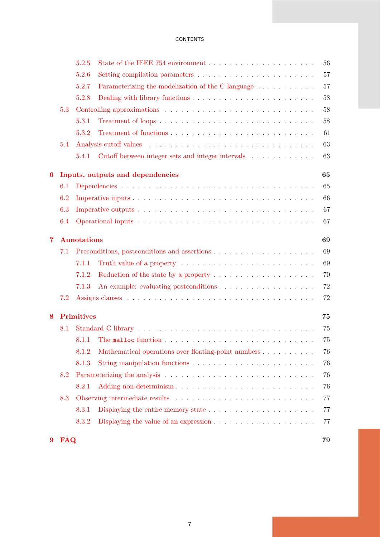# CONTENTS

|                |                    | 5.2.5                   |                                                                                                                                                                                                                                | 56     |  |  |  |
|----------------|--------------------|-------------------------|--------------------------------------------------------------------------------------------------------------------------------------------------------------------------------------------------------------------------------|--------|--|--|--|
|                |                    | 5.2.6                   |                                                                                                                                                                                                                                | 57     |  |  |  |
|                |                    | 5.2.7                   | Parameterizing the modelization of the C language $\ldots \ldots \ldots \ldots$                                                                                                                                                | 57     |  |  |  |
|                |                    | 5.2.8                   |                                                                                                                                                                                                                                | 58     |  |  |  |
|                | 5.3                |                         |                                                                                                                                                                                                                                | 58     |  |  |  |
|                |                    | 5.3.1                   | Treatment of loops                                                                                                                                                                                                             | 58     |  |  |  |
|                |                    | 5.3.2                   |                                                                                                                                                                                                                                | 61     |  |  |  |
|                | 5.4                |                         |                                                                                                                                                                                                                                | 63     |  |  |  |
|                |                    | 5.4.1                   | Cutoff between integer sets and integer intervals                                                                                                                                                                              | 63     |  |  |  |
| 6              |                    |                         | Inputs, outputs and dependencies                                                                                                                                                                                               | 65     |  |  |  |
|                | 6.1                |                         |                                                                                                                                                                                                                                | 65     |  |  |  |
|                | 6.2                |                         |                                                                                                                                                                                                                                | 66     |  |  |  |
|                | 6.3                |                         |                                                                                                                                                                                                                                | 67     |  |  |  |
|                | 6.4                |                         |                                                                                                                                                                                                                                | 67     |  |  |  |
| $\overline{7}$ | <b>Annotations</b> |                         |                                                                                                                                                                                                                                |        |  |  |  |
|                | 7.1                |                         |                                                                                                                                                                                                                                | 69     |  |  |  |
|                |                    | 7.1.1                   |                                                                                                                                                                                                                                | 69     |  |  |  |
|                |                    | 7.1.2                   |                                                                                                                                                                                                                                | 70     |  |  |  |
|                |                    | 7.1.3                   |                                                                                                                                                                                                                                | 72     |  |  |  |
|                | 7.2                |                         | Assigns clauses resources in the contract of the set of the set of the set of the set of the set of the set of the set of the set of the set of the set of the set of the set of the set of the set of the set of the set of t | 72     |  |  |  |
| 8              |                    | <b>Primitives</b><br>75 |                                                                                                                                                                                                                                |        |  |  |  |
|                | 8.1                |                         |                                                                                                                                                                                                                                | 75     |  |  |  |
|                |                    | 8.1.1                   | The malloc function $\ldots \ldots \ldots \ldots \ldots \ldots \ldots \ldots \ldots$                                                                                                                                           | 75     |  |  |  |
|                |                    | 8.1.2                   | Mathematical operations over floating-point numbers                                                                                                                                                                            | 76     |  |  |  |
|                |                    | 8.1.3                   |                                                                                                                                                                                                                                | 76     |  |  |  |
|                | 8.2                |                         |                                                                                                                                                                                                                                | 76     |  |  |  |
|                |                    | 8.2.1                   |                                                                                                                                                                                                                                | 76     |  |  |  |
|                | 8.3                |                         |                                                                                                                                                                                                                                | 77     |  |  |  |
|                |                    | 8.3.1                   | Displaying the entire memory state $\ldots \ldots \ldots \ldots \ldots \ldots$                                                                                                                                                 | 77     |  |  |  |
|                |                    | 8.3.2                   | Displaying the value of an expression $\ldots \ldots \ldots \ldots \ldots \ldots$                                                                                                                                              | $77\,$ |  |  |  |
| 9              | <b>FAQ</b>         |                         |                                                                                                                                                                                                                                | 79     |  |  |  |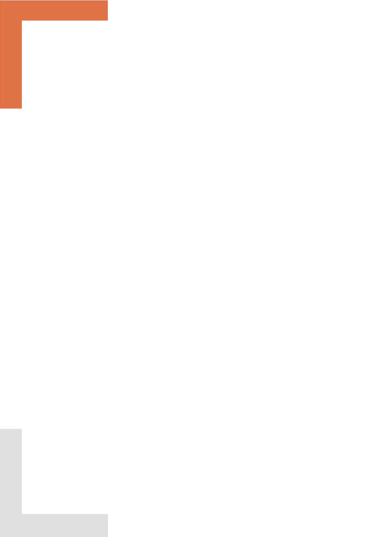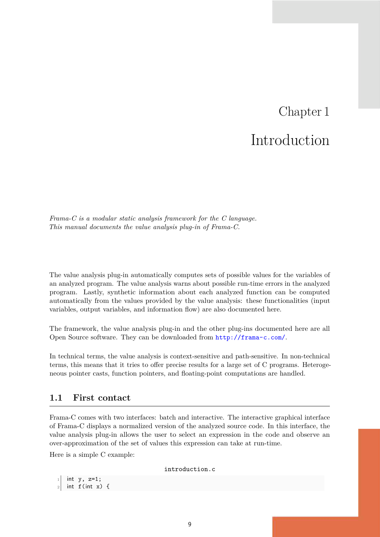# Chapter 1 Introduction

<span id="page-8-0"></span>*Frama-C is a modular static analysis framework for the C language. This manual documents the value analysis plug-in of Frama-C.*

The value analysis plug-in automatically computes sets of possible values for the variables of an analyzed program. The value analysis warns about possible run-time errors in the analyzed program. Lastly, synthetic information about each analyzed function can be computed automatically from the values provided by the value analysis: these functionalities (input variables, output variables, and information flow) are also documented here.

The framework, the value analysis plug-in and the other plug-ins documented here are all Open Source software. They can be downloaded from <http://frama-c.com/>.

In technical terms, the value analysis is context-sensitive and path-sensitive. In non-technical terms, this means that it tries to offer precise results for a large set of C programs. Heterogeneous pointer casts, function pointers, and floating-point computations are handled.

# <span id="page-8-1"></span>**1.1 First contact**

Frama-C comes with two interfaces: batch and interactive. The interactive graphical interface of Frama-C displays a normalized version of the analyzed source code. In this interface, the value analysis plug-in allows the user to select an expression in the code and observe an over-approximation of the set of values this expression can take at run-time.

Here is a simple C example:

introduction.c

 $1$  int y, z=1;  $2$  int f(int x) {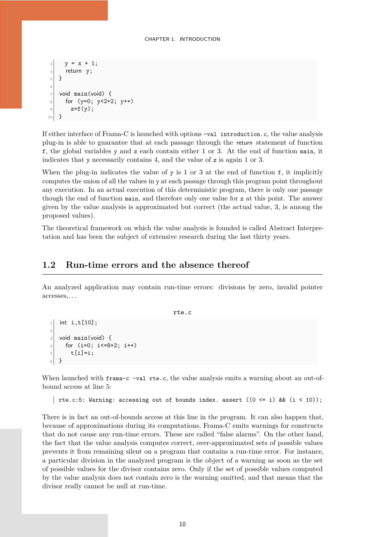```
3 \mid y = x + 1;4 return y;
5 }
6
7 void main(void) {
|8| for (y=0; y<2+2; y++)
9 z=f(y);_{10} }
```
If either interface of Frama-C is launched with options -val introduction.c, the value analysis plug-in is able to guarantee that at each passage through the return statement of function f, the global variables y and z each contain either 1 or 3. At the end of function main, it indicates that y necessarily contains 4, and the value of z is again 1 or 3.

When the plug-in indicates the value of y is 1 or 3 at the end of function f, it implicitly computes the union of all the values in y at each passage through this program point throughout any execution. In an actual execution of this deterministic program, there is only one passage though the end of function main, and therefore only one value for z at this point. The answer given by the value analysis is approximated but correct (the actual value, 3, is among the proposed values).

<span id="page-9-0"></span>The theoretical framework on which the value analysis is founded is called Abstract Interpretation and has been the subject of extensive research during the last thirty years.

# **1.2 Run-time errors and the absence thereof**

An analyzed application may contain run-time errors: divisions by zero, invalid pointer accesses,. . .

rte.c

```
_{1} int i,t[10];
2
3 void main(void) {
4 for (i=0; i<=8+2; i++)5 t[i]=i;
6 }
```
When launched with frama-c -val rte.c, the value analysis emits a warning about an out-ofbound access at line 5:

rte.c:5: Warning: accessing out of bounds index. assert  $((0 \le i)$  &&  $(i \le 10))$ ;

<span id="page-9-1"></span>There is in fact an out-of-bounds access at this line in the program. It can also happen that, because of approximations during its computations, Frama-C emits warnings for constructs that do not cause any run-time errors. These are called "false alarms". On the other hand, the fact that the value analysis computes correct, over-approximated sets of possible values prevents it from remaining silent on a program that contains a run-time error. For instance, a particular division in the analyzed program is the object of a warning as soon as the set of possible values for the divisor contains zero. Only if the set of possible values computed by the value analysis does not contain zero is the warning omitted, and that means that the divisor really cannot be null at run-time.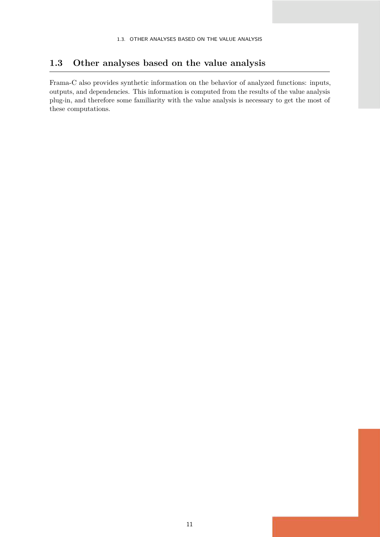# **1.3 Other analyses based on the value analysis**

Frama-C also provides synthetic information on the behavior of analyzed functions: inputs, outputs, and dependencies. This information is computed from the results of the value analysis plug-in, and therefore some familiarity with the value analysis is necessary to get the most of these computations.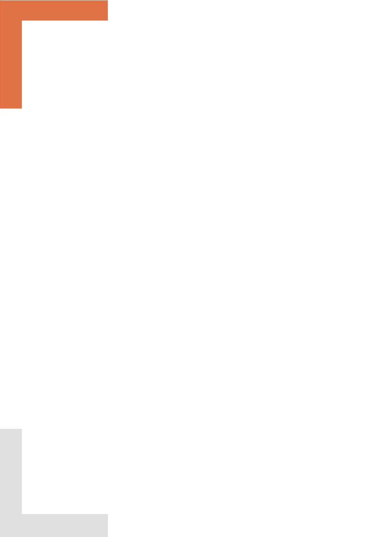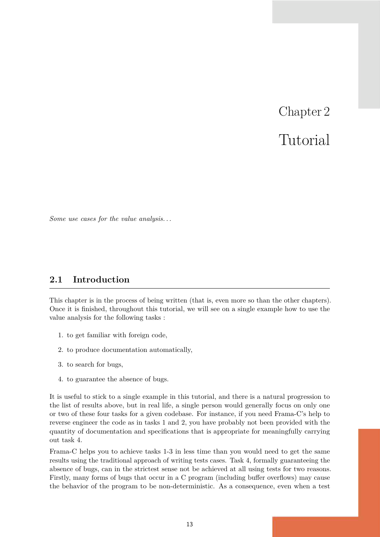# Chapter 2 Tutorial

<span id="page-12-0"></span>*Some use cases for the value analysis. . .*

# <span id="page-12-1"></span>**2.1 Introduction**

This chapter is in the process of being written (that is, even more so than the other chapters). Once it is finished, throughout this tutorial, we will see on a single example how to use the value analysis for the following tasks :

- 1. to get familiar with foreign code,
- 2. to produce documentation automatically,
- 3. to search for bugs,
- 4. to guarantee the absence of bugs.

It is useful to stick to a single example in this tutorial, and there is a natural progression to the list of results above, but in real life, a single person would generally focus on only one or two of these four tasks for a given codebase. For instance, if you need Frama-C's help to reverse engineer the code as in tasks 1 and 2, you have probably not been provided with the quantity of documentation and specifications that is appropriate for meaningfully carrying out task 4.

Frama-C helps you to achieve tasks 1-3 in less time than you would need to get the same results using the traditional approach of writing tests cases. Task 4, formally guaranteeing the absence of bugs, can in the strictest sense not be achieved at all using tests for two reasons. Firstly, many forms of bugs that occur in a C program (including buffer overflows) may cause the behavior of the program to be non-deterministic. As a consequence, even when a test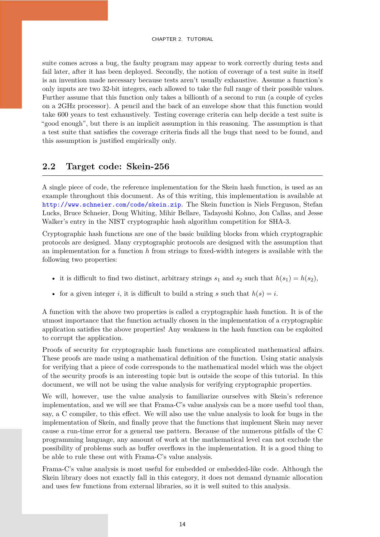suite comes across a bug, the faulty program may appear to work correctly during tests and fail later, after it has been deployed. Secondly, the notion of coverage of a test suite in itself is an invention made necessary because tests aren't usually exhaustive. Assume a function's only inputs are two 32-bit integers, each allowed to take the full range of their possible values. Further assume that this function only takes a billionth of a second to run (a couple of cycles on a 2GHz processor). A pencil and the back of an envelope show that this function would take 600 years to test exhaustively. Testing coverage criteria can help decide a test suite is "good enough", but there is an implicit assumption in this reasoning. The assumption is that a test suite that satisfies the coverage criteria finds all the bugs that need to be found, and this assumption is justified empirically only.

# <span id="page-13-0"></span>**2.2 Target code: Skein-256**

A single piece of code, the reference implementation for the Skein hash function, is used as an example throughout this document. As of this writing, this implementation is available at <http://www.schneier.com/code/skein.zip>. The Skein function is Niels Ferguson, Stefan Lucks, Bruce Schneier, Doug Whiting, Mihir Bellare, Tadayoshi Kohno, Jon Callas, and Jesse Walker's entry in the NIST cryptographic hash algorithm competition for SHA-3.

Cryptographic hash functions are one of the basic building blocks from which cryptographic protocols are designed. Many cryptographic protocols are designed with the assumption that an implementation for a function *h* from strings to fixed-width integers is available with the following two properties:

- it is difficult to find two distinct, arbitrary strings  $s_1$  and  $s_2$  such that  $h(s_1) = h(s_2)$ ,
- for a given integer *i*, it is difficult to build a string *s* such that  $h(s) = i$ .

A function with the above two properties is called a cryptographic hash function. It is of the utmost importance that the function actually chosen in the implementation of a cryptographic application satisfies the above properties! Any weakness in the hash function can be exploited to corrupt the application.

Proofs of security for cryptographic hash functions are complicated mathematical affairs. These proofs are made using a mathematical definition of the function. Using static analysis for verifying that a piece of code corresponds to the mathematical model which was the object of the security proofs is an interesting topic but is outside the scope of this tutorial. In this document, we will not be using the value analysis for verifying cryptographic properties.

We will, however, use the value analysis to familiarize ourselves with Skein's reference implementation, and we will see that Frama-C's value analysis can be a more useful tool than, say, a C compiler, to this effect. We will also use the value analysis to look for bugs in the implementation of Skein, and finally prove that the functions that implement Skein may never cause a run-time error for a general use pattern. Because of the numerous pitfalls of the C programming language, any amount of work at the mathematical level can not exclude the possibility of problems such as buffer overflows in the implementation. It is a good thing to be able to rule these out with Frama-C's value analysis.

<span id="page-13-1"></span>Frama-C's value analysis is most useful for embedded or embedded-like code. Although the Skein library does not exactly fall in this category, it does not demand dynamic allocation and uses few functions from external libraries, so it is well suited to this analysis.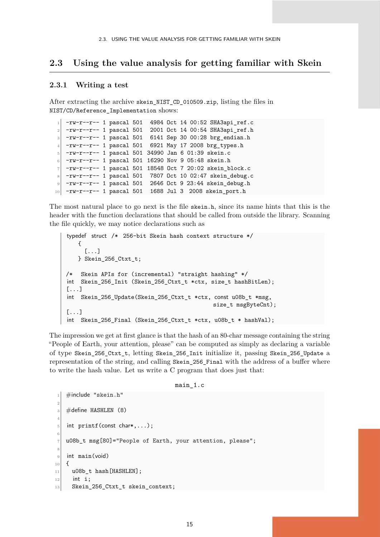# **2.3 Using the value analysis for getting familiar with Skein**

#### <span id="page-14-0"></span>**2.3.1 Writing a test**

After extracting the archive skein NIST CD 010509.zip, listing the files in NIST/CD/Reference\_Implementation shows:

```
1 -rw-r--r-- 1 pascal 501 4984 Oct 14 00:52 SHA3api_ref.c
|2| -rw-r--r-- 1 pascal 501 2001 Oct 14 00:54 SHA3api ref.h
3 -rw-r--r-- 1 pascal 501 6141 Sep 30 00:28 brg endian.h
4 -rw-r--r-- 1 pascal 501 6921 May 17 2008 brg_types.h
|5| -rw-r--r-- 1 pascal 501 34990 Jan 6 01:39 skein.c
6 -rw-r--r-- 1 pascal 501 16290 Nov 9 05:48 skein.h
7 -rw-r--r-- 1 pascal 501 18548 Oct 7 20:02 skein_block.c
|8| -rw-r--r-- 1 pascal 501 7807 Oct 10 02:47 skein_debug.c
9 -rw-r--r-- 1 pascal 501 2646 Oct 9 23:44 skein_debug.h
10 -rw-r--r-- 1 pascal 501 1688 Jul 3 2008 skein_port.h
```
The most natural place to go next is the file skein.h, since its name hints that this is the header with the function declarations that should be called from outside the library. Scanning the file quickly, we may notice declarations such as

```
typedef struct /* 256-bit Skein hash context structure */
   {
     [...]
   } Skein_256_Ctxt_t;
/* Skein APIs for (incremental) "straight hashing" */
int Skein_256_Init (Skein_256_Ctxt_t *ctx, size_t hashBitLen);
[...]
int Skein 256 Update(Skein 256 Ctxt t *ctx, const u08b t *msg,
                                            size t msgByteCnt);
[...]
int Skein_256_Final (Skein_256_Ctxt_t *ctx, u08b_t * hashVal);
```
The impression we get at first glance is that the hash of an 80-char message containing the string "People of Earth, your attention, please" can be computed as simply as declaring a variable of type Skein\_256\_Ctxt\_t, letting Skein\_256\_Init initialize it, passing Skein\_256\_Update a representation of the string, and calling Skein\_256\_Final with the address of a buffer where to write the hash value. Let us write a C program that does just that:

```
main_1.c
```

```
_1 #include "skein.h"
\overline{2}3 #define HASHLEN (8)
 4
5 int printf(const char*,...);
6
7 u08b_t msg[80]="People of Earth, your attention, please";
8
9 int main(void)
_{10} {
11 u08b_t hash [HASHLEN];
12 int i;
13 Skein_256_Ctxt_t skein_context;
```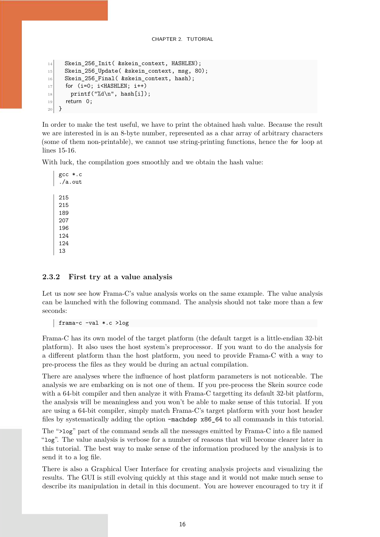```
14 Skein_256_Init( &skein_context, HASHLEN);
15 Skein_256_Update( &skein_context, msg, 80);
|16| Skein_256_Final( &skein_context, hash);
_{17} for (i=0; i<HASHLEN; i++)
18 printf("%d\n", hash[i]);
_{19} return 0;
_{20} }
```
In order to make the test useful, we have to print the obtained hash value. Because the result we are interested in is an 8-byte number, represented as a char array of arbitrary characters (some of them non-printable), we cannot use string-printing functions, hence the for loop at lines 15-16.

With luck, the compilation goes smoothly and we obtain the hash value:

#### <span id="page-15-0"></span>**2.3.2 First try at a value analysis**

Let us now see how Frama-C's value analysis works on the same example. The value analysis can be launched with the following command. The analysis should not take more than a few seconds:

frama-c -val \*.c >log

Frama-C has its own model of the target platform (the default target is a little-endian 32-bit platform). It also uses the host system's preprocessor. If you want to do the analysis for a different platform than the host platform, you need to provide Frama-C with a way to pre-process the files as they would be during an actual compilation.

There are analyses where the influence of host platform parameters is not noticeable. The analysis we are embarking on is not one of them. If you pre-process the Skein source code with a 64-bit compiler and then analyze it with Frama-C targetting its default 32-bit platform, the analysis will be meaningless and you won't be able to make sense of this tutorial. If you are using a 64-bit compiler, simply match Frama-C's target platform with your host header files by systematically adding the option -machdep x86\_64 to all commands in this tutorial.

The ">log" part of the command sends all the messages emitted by Frama-C into a file named "log". The value analysis is verbose for a number of reasons that will become clearer later in this tutorial. The best way to make sense of the information produced by the analysis is to send it to a log file.

There is also a Graphical User Interface for creating analysis projects and visualizing the results. The GUI is still evolving quickly at this stage and it would not make much sense to describe its manipulation in detail in this document. You are however encouraged to try it if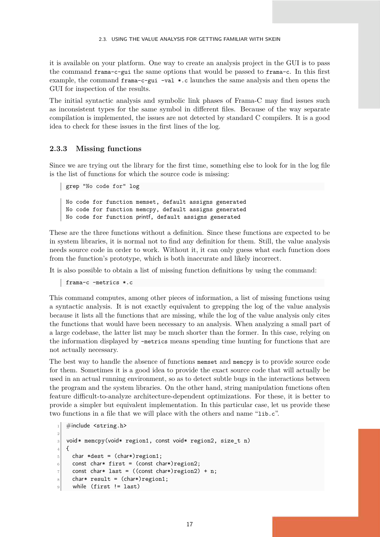it is available on your platform. One way to create an analysis project in the GUI is to pass the command frama-c-gui the same options that would be passed to frama-c. In this first example, the command  $frame-c-gui -val * c$  launches the same analysis and then opens the GUI for inspection of the results.

The initial syntactic analysis and symbolic link phases of Frama-C may find issues such as inconsistent types for the same symbol in different files. Because of the way separate compilation is implemented, the issues are not detected by standard C compilers. It is a good idea to check for these issues in the first lines of the log.

#### <span id="page-16-0"></span>**2.3.3 Missing functions**

Since we are trying out the library for the first time, something else to look for in the log file is the list of functions for which the source code is missing:

```
grep "No code for" log
No code for function memset, default assigns generated
No code for function memcpy, default assigns generated
No code for function printf, default assigns generated
```
These are the three functions without a definition. Since these functions are expected to be in system libraries, it is normal not to find any definition for them. Still, the value analysis needs source code in order to work. Without it, it can only guess what each function does from the function's prototype, which is both inaccurate and likely incorrect.

It is also possible to obtain a list of missing function definitions by using the command:

frama-c -metrics \*.c

This command computes, among other pieces of information, a list of missing functions using a syntactic analysis. It is not exactly equivalent to grepping the log of the value analysis because it lists all the functions that are missing, while the log of the value analysis only cites the functions that would have been necessary to an analysis. When analyzing a small part of a large codebase, the latter list may be much shorter than the former. In this case, relying on the information displayed by -metrics means spending time hunting for functions that are not actually necessary.

The best way to handle the absence of functions memset and memcpy is to provide source code for them. Sometimes it is a good idea to provide the exact source code that will actually be used in an actual running environment, so as to detect subtle bugs in the interactions between the program and the system libraries. On the other hand, string manipulation functions often feature difficult-to-analyze architecture-dependent optimizations. For these, it is better to provide a simpler but equivalent implementation. In this particular case, let us provide these two functions in a file that we will place with the others and name "lib.c".

```
_1 #include <string.h>
2
3 void* memcpy(void* region1, const void* region2, size_t n)
4 \mid 65 char *dest = (char*) region1;
6 const char* first = (const char*)region2;
7 const char* last = ((const char*)region2) + n;
|8| char* result = (char*) region1;
9 while (first != last)
```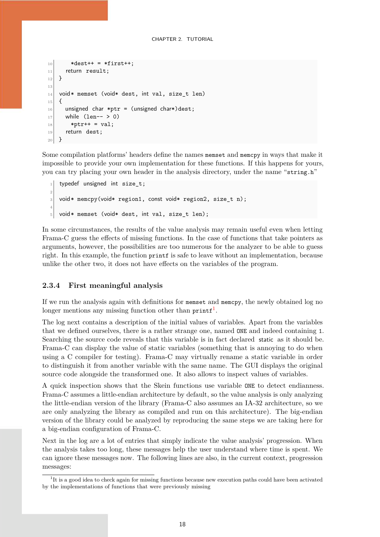```
|10| *dest++ = *first++;
11 return result;
_{12} }
13
_{14} void* memset (void* dest, int val, size_t len)
15 {
16 unsigned char *ptr = (unsigned char*)dest;
_{17} while (1en-- > 0)
|18| *ptr++ = val;
19 return dest;
20 }
```
Some compilation platforms' headers define the names memset and memcpy in ways that make it impossible to provide your own implementation for these functions. If this happens for yours, you can try placing your own header in the analysis directory, under the name "string.h"

```
typedef unsigned int size_t;
2
|3| void* memcpy(void* region1, const void* region2, size t n);
4
  void* memset (void* dest, int val, size_t len);
```
In some circumstances, the results of the value analysis may remain useful even when letting Frama-C guess the effects of missing functions. In the case of functions that take pointers as arguments, however, the possibilities are too numerous for the analyzer to be able to guess right. In this example, the function printf is safe to leave without an implementation, because unlike the other two, it does not have effects on the variables of the program.

#### <span id="page-17-0"></span>**2.3.4 First meaningful analysis**

If we run the analysis again with definitions for memset and memcpy, the newly obtained log no longer mentions any missing function other than  $\text{print}^1$  $\text{print}^1$ .

The log next contains a description of the initial values of variables. Apart from the variables that we defined ourselves, there is a rather strange one, named ONE and indeed containing 1. Searching the source code reveals that this variable is in fact declared static as it should be. Frama-C can display the value of static variables (something that is annoying to do when using a C compiler for testing). Frama-C may virtually rename a static variable in order to distinguish it from another variable with the same name. The GUI displays the original source code alongside the transformed one. It also allows to inspect values of variables.

A quick inspection shows that the Skein functions use variable ONE to detect endianness. Frama-C assumes a little-endian architecture by default, so the value analysis is only analyzing the little-endian version of the library (Frama-C also assumes an IA-32 architecture, so we are only analyzing the library as compiled and run on this architecture). The big-endian version of the library could be analyzed by reproducing the same steps we are taking here for a big-endian configuration of Frama-C.

Next in the log are a lot of entries that simply indicate the value analysis' progression. When the analysis takes too long, these messages help the user understand where time is spent. We can ignore these messages now. The following lines are also, in the current context, progression messages:

<span id="page-17-1"></span><sup>&</sup>lt;sup>1</sup>It is a good idea to check again for missing functions because new execution paths could have been activated by the implementations of functions that were previously missing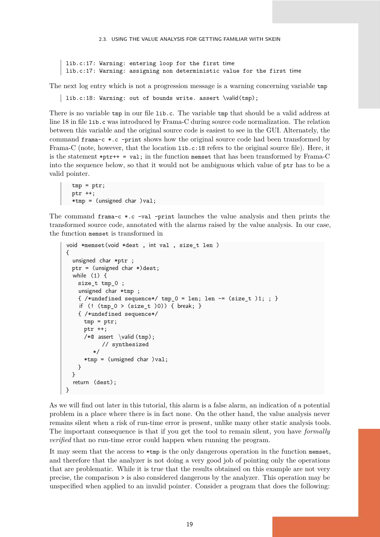lib.c:17: Warning: entering loop for the first time lib.c:17: Warning: assigning non deterministic value for the first time

The next log entry which is not a progression message is a warning concerning variable tmp

```
lib.c:18: Warning: out of bounds write. assert \valid(tmp);
```
There is no variable tmp in our file lib.c. The variable tmp that should be a valid address at line 18 in file lib.c was introduced by Frama-C during source code normalization. The relation between this variable and the original source code is easiest to see in the GUI. Alternately, the command frama-c \*.c -print shows how the original source code had been transformed by Frama-C (note, however, that the location lib.c:18 refers to the original source file). Here, it is the statement \*ptr++ = val; in the function memset that has been transformed by Frama-C into the sequence below, so that it would not be ambiguous which value of ptr has to be a valid pointer.

```
tmp = ptr;ptr ++;
*tmp = (unsigned char) val;
```
The command frama-c \*.c -val -print launches the value analysis and then prints the transformed source code, annotated with the alarms raised by the value analysis. In our case, the function memset is transformed in

```
void *memset(void *dest , int val , size_t len )
{
  unsigned char *ptr ;
  ptr = (unsigned char *)dest;
  while (1) {
    size_t tmp_0 ;
    unsigned char *tmp ;
    \{ /*undefined sequence*/ tmp 0 = len; len -= (size t )1; ; }
    if (! (tmp_0 > (size_t )0)) { break; }
    { /*undefined sequence*/
      tmp = ptr;
      ptr ++;
      /*@ assert \valid (tmp);
           // synthesized
        */
      *tmp = (unsigned char) val;}
  }
  return (dest);
}
```
As we will find out later in this tutorial, this alarm is a false alarm, an indication of a potential problem in a place where there is in fact none. On the other hand, the value analysis never remains silent when a risk of run-time error is present, unlike many other static analysis tools. The important consequence is that if you get the tool to remain silent, you have *formally verified* that no run-time error could happen when running the program.

It may seem that the access to \*tmp is the only dangerous operation in the function memset, and therefore that the analyzer is not doing a very good job of pointing only the operations that are problematic. While it is true that the results obtained on this example are not very precise, the comparison > is also considered dangerous by the analyzer. This operation may be unspecified when applied to an invalid pointer. Consider a program that does the following: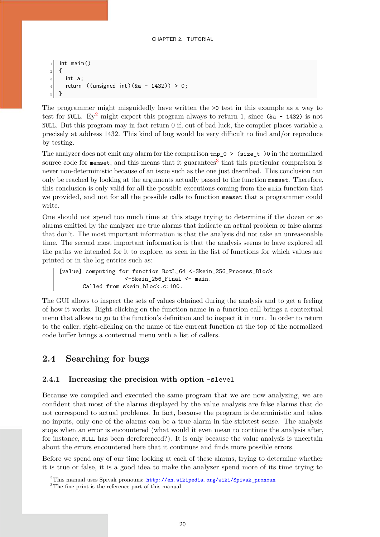```
1 int main()
2 {
3 int a;
4 return ((unsigned int)(\&a - 1432)) > 0;
5 }
```
The programmer might misguidedly have written the >0 test in this example as a way to test for NULL. Ey<sup>[2](#page-19-2)</sup> might expect this program always to return 1, since ( $\&a - 1432$ ) is not NULL. But this program may in fact return 0 if, out of bad luck, the compiler places variable a precisely at address 1432. This kind of bug would be very difficult to find and/or reproduce by testing.

The analyzer does not emit any alarm for the comparison  $\tan p \circ > (\text{size }t)$  o in the normalized source code for memset, and this means that it guarantees<sup>[3](#page-19-3)</sup> that this particular comparison is never non-deterministic because of an issue such as the one just described. This conclusion can only be reached by looking at the arguments actually passed to the function memset. Therefore, this conclusion is only valid for all the possible executions coming from the main function that we provided, and not for all the possible calls to function memset that a programmer could write.

One should not spend too much time at this stage trying to determine if the dozen or so alarms emitted by the analyzer are true alarms that indicate an actual problem or false alarms that don't. The most important information is that the analysis did not take an unreasonable time. The second most important information is that the analysis seems to have explored all the paths we intended for it to explore, as seen in the list of functions for which values are printed or in the log entries such as:

```
[value] computing for function RotL 64 <-Skein 256 Process Block
                    <-Skein_256_Final <- main.
       Called from skein_block.c:100.
```
The GUI allows to inspect the sets of values obtained during the analysis and to get a feeling of how it works. Right-clicking on the function name in a function call brings a contextual menu that allows to go to the function's definition and to inspect it in turn. In order to return to the caller, right-clicking on the name of the current function at the top of the normalized code buffer brings a contextual menu with a list of callers.

# <span id="page-19-0"></span>**2.4 Searching for bugs**

#### <span id="page-19-1"></span>**2.4.1 Increasing the precision with option** -slevel

Because we compiled and executed the same program that we are now analyzing, we are confident that most of the alarms displayed by the value analysis are false alarms that do not correspond to actual problems. In fact, because the program is deterministic and takes no inputs, only one of the alarms can be a true alarm in the strictest sense. The analysis stops when an error is encountered (what would it even mean to continue the analysis after, for instance, NULL has been dereferenced?). It is only because the value analysis is uncertain about the errors encountered here that it continues and finds more possible errors.

Before we spend any of our time looking at each of these alarms, trying to determine whether it is true or false, it is a good idea to make the analyzer spend more of its time trying to

<span id="page-19-2"></span><sup>&</sup>lt;sup>2</sup>This manual uses Spivak pronouns: [http://en.wikipedia.org/wiki/Spivak\\_pronoun](http://en.wikipedia.org/wiki/Spivak_pronoun)

<span id="page-19-3"></span><sup>3</sup>The fine print is the reference part of this manual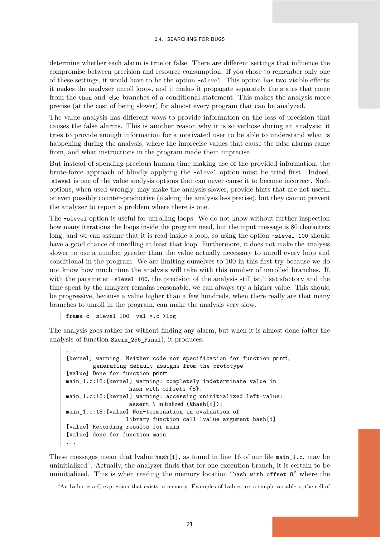#### 2.4. SEARCHING FOR BUGS

determine whether each alarm is true or false. There are different settings that influence the compromise between precision and resource consumption. If you chose to remember only one of these settings, it would have to be the option -slevel. This option has two visible effects: it makes the analyzer unroll loops, and it makes it propagate separately the states that come from the then and else branches of a conditional statement. This makes the analysis more precise (at the cost of being slower) for almost every program that can be analyzed.

The value analysis has different ways to provide information on the loss of precision that causes the false alarms. This is another reason why it is so verbose during an analysis: it tries to provide enough information for a motivated user to be able to understand what is happening during the analysis, where the imprecise values that cause the false alarms came from, and what instructions in the program made them imprecise.

But instead of spending precious human time making use of the provided information, the brute-force approach of blindly applying the -slevel option must be tried first. Indeed, -slevel is one of the value analysis options that can never cause it to become incorrect. Such options, when used wrongly, may make the analysis slower, provide hints that are not useful, or even possibly counter-productive (making the analysis less precise), but they cannot prevent the analyzer to report a problem where there is one.

The -slevel option is useful for unrolling loops. We do not know without further inspection how many iterations the loops inside the program need, but the input message is 80 characters long, and we can assume that it is read inside a loop, so using the option -slevel 100 should have a good chance of unrolling at least that loop. Furthermore, it does not make the analysis slower to use a number greater than the value actually necessary to unroll every loop and conditional in the program. We are limiting ourselves to 100 in this first try because we do not know how much time the analysis will take with this number of unrolled branches. If, with the parameter -slevel 100, the precision of the analysis still isn't satisfactory and the time spent by the analyzer remains reasonable, we can always try a higher value. This should be progressive, because a value higher than a few hundreds, when there really are that many branches to unroll in the program, can make the analysis very slow.

frama-c -slevel 100 -val \*.c >log

The analysis goes rather far without finding any alarm, but when it is almost done (after the analysis of function Skein\_256\_Final), it produces:

```
...
[kernel] warning: Neither code nor specification for function printf,
        generating default assigns from the prototype
[value] Done for function printf
main 1.c:18: [kernel] warning: completely indeterminate value in
                   hash with offsets {8}.
main_1.c:18:[kernel] warning: accessing uninitialized left-value:
                   assert \ initialized (&hash[i]);
main_1.c:18:[value] Non-termination in evaluation of
                  library function call lvalue argument hash[i]
[value] Recording results for main
[value] done for function main
...
```
These messages mean that lvalue hash[i], as found in line 16 of our file main\_1.c, may be uninitialized<sup>[4](#page-20-0)</sup>. Actually, the analyzer finds that for one execution branch, it is certain to be uninitialized. This is when reading the memory location "hash with offset 8" where the

<span id="page-20-0"></span><sup>&</sup>lt;sup>4</sup>An lvalue is a C expression that exists in memory. Examples of lvalues are a simple variable x, the cell of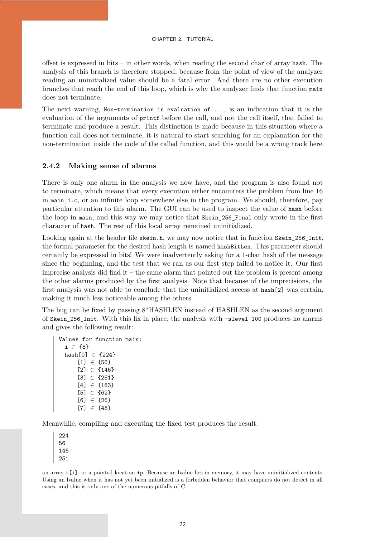#### CHAPTER 2. TUTORIAL

offset is expressed in bits – in other words, when reading the second char of array hash. The analysis of this branch is therefore stopped, because from the point of view of the analyzer reading an uninitialized value should be a fatal error. And there are no other execution branches that reach the end of this loop, which is why the analyzer finds that function main does not terminate.

The next warning, Non-termination in evaluation of  $\ldots$ , is an indication that it is the evaluation of the arguments of printf before the call, and not the call itself, that failed to terminate and produce a result. This distinction is made because in this situation where a function call does not terminate, it is natural to start searching for an explanation for the non-termination inside the code of the called function, and this would be a wrong track here.

#### <span id="page-21-0"></span>**2.4.2 Making sense of alarms**

There is only one alarm in the analysis we now have, and the program is also found not to terminate, which means that every execution either encounters the problem from line 16 in main 1.c, or an infinite loop somewhere else in the program. We should, therefore, pay particular attention to this alarm. The GUI can be used to inspect the value of hash before the loop in main, and this way we may notice that Skein\_256\_Final only wrote in the first character of hash. The rest of this local array remained uninitialized.

Looking again at the header file skein.h, we may now notice that in function Skein 256 Init, the formal parameter for the desired hash length is named hashBitLen. This parameter should certainly be expressed in bits! We were inadvertently asking for a 1-char hash of the message since the beginning, and the test that we ran as our first step failed to notice it. Our first imprecise analysis did find it – the same alarm that pointed out the problem is present among the other alarms produced by the first analysis. Note that because of the imprecisions, the first analysis was not able to conclude that the uninitialized access at hash[2] was certain, making it much less noticeable among the others.

The bug can be fixed by passing 8\*HASHLEN instead of HASHLEN as the second argument of Skein\_256\_Init. With this fix in place, the analysis with -slevel 100 produces no alarms and gives the following result:

```
Values for function main:
  i ∈ {8}
  hash[0] ∈ {224}
      [1] \in \{56\}[2] \in \{146\}[3] \in \{251\}[4] \in \{183\}[5] ∈ {62}
      [6] \in \{26\}[7] \in \{48\}
```
Meanwhile, compiling and executing the fixed test produces the result:

an array t[i], or a pointed location \*p. Because an lvalue lies in memory, it may have uninitialized contents. Using an lvalue when it has not yet been initialized is a forbidden behavior that compilers do not detect in all cases, and this is only one of the numerous pitfalls of C.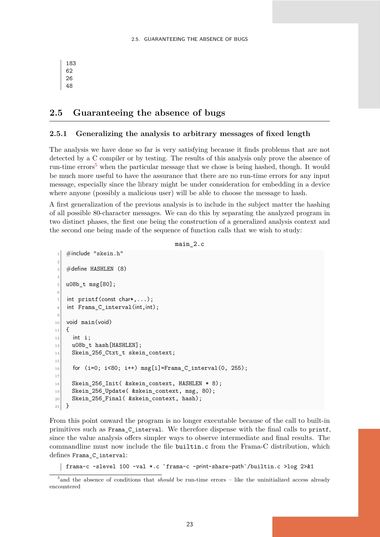# <span id="page-22-0"></span>**2.5 Guaranteeing the absence of bugs**

#### <span id="page-22-1"></span>**2.5.1 Generalizing the analysis to arbitrary messages of fixed length**

The analysis we have done so far is very satisfying because it finds problems that are not detected by a C compiler or by testing. The results of this analysis only prove the absence of run-time errors<sup>[5](#page-22-2)</sup> when the particular message that we chose is being hashed, though. It would be much more useful to have the assurance that there are no run-time errors for any input message, especially since the library might be under consideration for embedding in a device where anyone (possibly a malicious user) will be able to choose the message to hash.

A first generalization of the previous analysis is to include in the subject matter the hashing of all possible 80-character messages. We can do this by separating the analyzed program in two distinct phases, the first one being the construction of a generalized analysis context and the second one being made of the sequence of function calls that we wish to study:

```
main_2.c
_1 #include "skein.h"
2
3 #define HASHLEN (8)
4
5 \mid 108b \text{ t msg}[80];6
7 int printf(const char*,...);
   int Frama_C_interval(int,int);
9
_{10} void main(void)
11 \mid \{12 int i;
13 u08b_t hash[HASHLEN];
|14| Skein_256_Ctxt_t skein_context;
15
_{16} for (i=0; i<80; i++) msg[i]=Frama_C_interval(0, 255);
17
18 Skein_256_Init( &skein_context, HASHLEN * 8);
19 Skein_256_Update( &skein_context, msg, 80);
20 Skein_256_Final( &skein_context, hash);
_{21} }
```
From this point onward the program is no longer executable because of the call to built-in primitives such as Frama\_C\_interval. We therefore dispense with the final calls to printf, since the value analysis offers simpler ways to observe intermediate and final results. The commandline must now include the file builtin.c from the Frama-C distribution, which defines Frama\_C\_interval:

<span id="page-22-2"></span>frama-c -slevel 100 -val \*.c `frama-c -print-share-path`/builtin.c >log 2>&1

<sup>&</sup>lt;sup>5</sup> and the absence of conditions that *should* be run-time errors – like the uninitialized access already encountered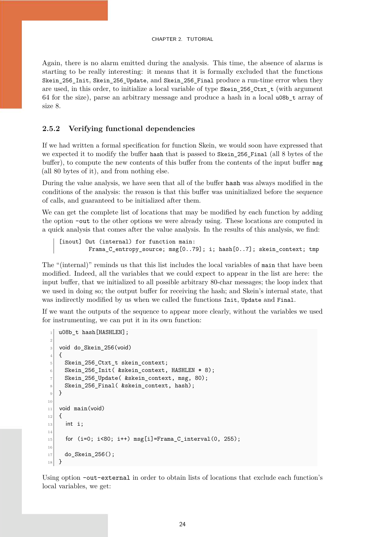Again, there is no alarm emitted during the analysis. This time, the absence of alarms is starting to be really interesting: it means that it is formally excluded that the functions Skein\_256\_Init, Skein\_256\_Update, and Skein\_256\_Final produce a run-time error when they are used, in this order, to initialize a local variable of type Skein\_256\_Ctxt\_t (with argument 64 for the size), parse an arbitrary message and produce a hash in a local u08b\_t array of size 8.

#### <span id="page-23-0"></span>**2.5.2 Verifying functional dependencies**

If we had written a formal specification for function Skein, we would soon have expressed that we expected it to modify the buffer hash that is passed to Skein\_256\_Final (all 8 bytes of the buffer), to compute the new contents of this buffer from the contents of the input buffer msg (all 80 bytes of it), and from nothing else.

During the value analysis, we have seen that all of the buffer hash was always modified in the conditions of the analysis: the reason is that this buffer was uninitialized before the sequence of calls, and guaranteed to be initialized after them.

We can get the complete list of locations that may be modified by each function by adding the option -out to the other options we were already using. These locations are computed in a quick analysis that comes after the value analysis. In the results of this analysis, we find:

```
[inout] Out (internal) for function main:
        Frama_C_entropy_source; msg[0..79]; i; hash[0..7]; skein_context; tmp
```
The "(internal)" reminds us that this list includes the local variables of main that have been modified. Indeed, all the variables that we could expect to appear in the list are here: the input buffer, that we initialized to all possible arbitrary 80-char messages; the loop index that we used in doing so; the output buffer for receiving the hash; and Skein's internal state, that was indirectly modified by us when we called the functions Init, Update and Final.

If we want the outputs of the sequence to appear more clearly, without the variables we used for instrumenting, we can put it in its own function:

```
u08b t hash[HASHLEN];
2
3 void do_Skein_256(void)
4 {
5 Skein_256_Ctxt_t skein_context;
6 Skein_256_Init( \&skein_context, HASHLEN * 8);
7 Skein_256_Update( &skein_context, msg, 80);
8 Skein_256_Final( &skein_context, hash);
9 }
10
_{11} void main(void)
12 {
_{13} int i;
14
15 for (i=0; i<80; i++) msg[i]=Frama_C_interval(0, 255);
16
_{17} do_Skein_256();
18 }
```
Using option -out-external in order to obtain lists of locations that exclude each function's local variables, we get: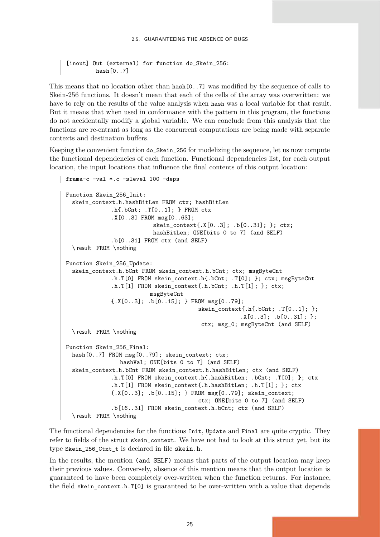#### 2.5. GUARANTEEING THE ABSENCE OF BUGS

```
[inout] Out (external) for function do Skein 256:
        hash[0..7]
```
This means that no location other than hash[0..7] was modified by the sequence of calls to Skein-256 functions. It doesn't mean that each of the cells of the array was overwritten: we have to rely on the results of the value analysis when hash was a local variable for that result. But it means that when used in conformance with the pattern in this program, the functions do not accidentally modify a global variable. We can conclude from this analysis that the functions are re-entrant as long as the concurrent computations are being made with separate contexts and destination buffers.

Keeping the convenient function do\_Skein\_256 for modelizing the sequence, let us now compute the functional dependencies of each function. Functional dependencies list, for each output location, the input locations that influence the final contents of this output location:

```
frama-c -val *.c -slevel 100 -deps
Function Skein_256_Init:
  skein context.h.hashBitLen FROM ctx; hashBitLen
              .h{.bCnt; .T[0..1]; } FROM ctx
              .X[0..3] FROM msg[0..63];
                           skein_context{.X[0..3]; .b[0..31]; }; ctx;
                           hashBitLen; ONE[bits 0 to 7] (and SELF)
              .b[0..31] FROM ctx (and SELF)
  \ result FROM \nothing
Function Skein_256_Update:
  skein_context.h.bCnt FROM skein_context.h.bCnt; ctx; msgByteCnt
              .h.T[0] FROM skein_context.h{.bCnt; .T[0]; }; ctx; msgByteCnt
              .h.T[1] FROM skein_context{.h.bCnt; .h.T[1]; }; ctx;
                         msgByteCnt
              {.X[0..3]; .b[0..15]; } FROM msg[0..79];
                                        skein_context{.h{.bCnt; .T[0..1]; };
                                                     .X[0..3]; .b[0..31]; };
                                         ctx; msg_0; msgByteCnt (and SELF)
  \ result FROM \nothing
Function Skein_256_Final:
  hash[0..7] FROM msg[0..79]; skein_context; ctx;
                hashVal; ONE[bits 0 to 7] (and SELF)
  skein_context.h.bCnt FROM skein_context.h.hashBitLen; ctx (and SELF)
              .h.T[0] FROM skein_context.h{.hashBitLen; .bCnt; .T[0]; }; ctx
              .h.T[1] FROM skein_context{.h.hashBitLen; .h.T[1]; }; ctx
              {.X[0..3]; .b[0..15]; } FROM msg[0..79]; skein_context;
                                        ctx; ONE[bits 0 to 7] (and SELF)
              .b[16..31] FROM skein_context.h.bCnt; ctx (and SELF)
  \ result FROM \nothing
```
The functional dependencies for the functions Init, Update and Final are quite cryptic. They refer to fields of the struct skein\_context. We have not had to look at this struct yet, but its type Skein\_256\_Ctxt\_t is declared in file skein.h.

In the results, the mention (and SELF) means that parts of the output location may keep their previous values. Conversely, absence of this mention means that the output location is guaranteed to have been completely over-written when the function returns. For instance, the field skein\_context.h.T[0] is guaranteed to be over-written with a value that depends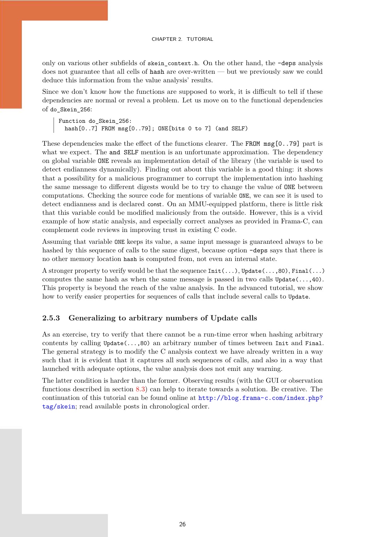only on various other subfields of skein\_context.h. On the other hand, the -deps analysis does not guarantee that all cells of hash are over-written — but we previously saw we could deduce this information from the value analysis' results.

Since we don't know how the functions are supposed to work, it is difficult to tell if these dependencies are normal or reveal a problem. Let us move on to the functional dependencies of do\_Skein\_256:

Function do\_Skein\_256: hash[0..7] FROM msg[0..79]; ONE[bits 0 to 7] (and SELF)

These dependencies make the effect of the functions clearer. The FROM msg[0..79] part is what we expect. The **and SELF** mention is an unfortunate approximation. The dependency on global variable ONE reveals an implementation detail of the library (the variable is used to detect endianness dynamically). Finding out about this variable is a good thing: it shows that a possibility for a malicious programmer to corrupt the implementation into hashing the same message to different digests would be to try to change the value of ONE between computations. Checking the source code for mentions of variable ONE, we can see it is used to detect endianness and is declared const. On an MMU-equipped platform, there is little risk that this variable could be modified maliciously from the outside. However, this is a vivid example of how static analysis, and especially correct analyses as provided in Frama-C, can complement code reviews in improving trust in existing C code.

Assuming that variable ONE keeps its value, a same input message is guaranteed always to be hashed by this sequence of calls to the same digest, because option -deps says that there is no other memory location hash is computed from, not even an internal state.

A stronger property to verify would be that the sequence Init(...), Update(...,80), Final(...) computes the same hash as when the same message is passed in two calls  $Update(\ldots, 40)$ . This property is beyond the reach of the value analysis. In the advanced tutorial, we show how to verify easier properties for sequences of calls that include several calls to Update.

#### <span id="page-25-0"></span>**2.5.3 Generalizing to arbitrary numbers of Update calls**

As an exercise, try to verify that there cannot be a run-time error when hashing arbitrary contents by calling Update(...,80) an arbitrary number of times between Init and Final. The general strategy is to modify the C analysis context we have already written in a way such that it is evident that it captures all such sequences of calls, and also in a way that launched with adequate options, the value analysis does not emit any warning.

The latter condition is harder than the former. Observing results (with the GUI or observation functions described in section [8.3\)](#page-76-0) can help to iterate towards a solution. Be creative. The continuation of this tutorial can be found online at [http://blog.frama-c.com/index.php?](http://blog.frama-c.com/index.php?tag/skein) [tag/skein](http://blog.frama-c.com/index.php?tag/skein); read available posts in chronological order.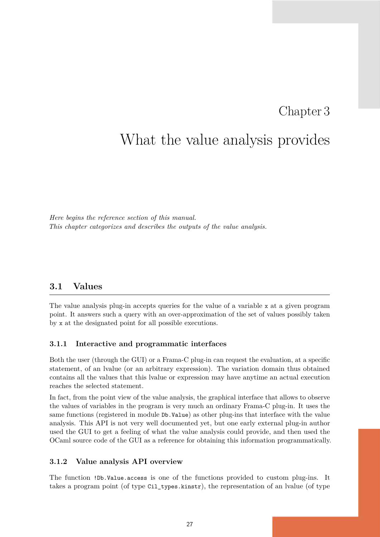# Chapter 3

# <span id="page-26-0"></span>What the value analysis provides

*Here begins the reference section of this manual. This chapter categorizes and describes the outputs of the value analysis.*

# <span id="page-26-1"></span>**3.1 Values**

The value analysis plug-in accepts queries for the value of a variable x at a given program point. It answers such a query with an over-approximation of the set of values possibly taken by x at the designated point for all possible executions.

#### <span id="page-26-2"></span>**3.1.1 Interactive and programmatic interfaces**

Both the user (through the GUI) or a Frama-C plug-in can request the evaluation, at a specific statement, of an lvalue (or an arbitrary expression). The variation domain thus obtained contains all the values that this lvalue or expression may have anytime an actual execution reaches the selected statement.

In fact, from the point view of the value analysis, the graphical interface that allows to observe the values of variables in the program is very much an ordinary Frama-C plug-in. It uses the same functions (registered in module Db.Value) as other plug-ins that interface with the value analysis. This API is not very well documented yet, but one early external plug-in author used the GUI to get a feeling of what the value analysis could provide, and then used the OCaml source code of the GUI as a reference for obtaining this information programmatically.

#### <span id="page-26-3"></span>**3.1.2 Value analysis API overview**

The function !Db.Value.access is one of the functions provided to custom plug-ins. It takes a program point (of type Cil\_types.kinstr), the representation of an lvalue (of type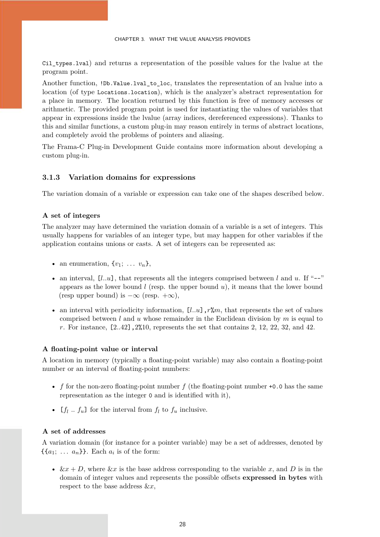Cil types.lval) and returns a representation of the possible values for the lvalue at the program point.

Another function, !Db.Value.lval\_to\_loc, translates the representation of an lvalue into a location (of type Locations.location), which is the analyzer's abstract representation for a place in memory. The location returned by this function is free of memory accesses or arithmetic. The provided program point is used for instantiating the values of variables that appear in expressions inside the lvalue (array indices, dereferenced expressions). Thanks to this and similar functions, a custom plug-in may reason entirely in terms of abstract locations, and completely avoid the problems of pointers and aliasing.

The Frama-C Plug-in Development Guide contains more information about developing a custom plug-in.

#### <span id="page-27-0"></span>**3.1.3 Variation domains for expressions**

The variation domain of a variable or expression can take one of the shapes described below.

#### **A set of integers**

The analyzer may have determined the variation domain of a variable is a set of integers. This usually happens for variables of an integer type, but may happen for other variables if the application contains unions or casts. A set of integers can be represented as:

- an enumeration,  $\{v_1; \ldots v_n\},\$
- an interval, [*l..u*], that represents all the integers comprised between *l* and *u*. If "--" appears as the lower bound  $l$  (resp. the upper bound  $u$ ), it means that the lower bound (resp upper bound) is  $-\infty$  (resp.  $+\infty$ ),
- an interval with periodicity information, [*l..u*],*r*%*m*, that represents the set of values comprised between  $l$  and  $u$  whose remainder in the Euclidean division by  $m$  is equal to *r*. For instance, [2*..*42],2%10, represents the set that contains 2, 12, 22, 32, and 42.

#### **A floating-point value or interval**

A location in memory (typically a floating-point variable) may also contain a floating-point number or an interval of floating-point numbers:

- *f* for the non-zero floating-point number *f* (the floating-point number +0.0 has the same representation as the integer 0 and is identified with it),
- $[f_l \dots f_u]$  for the interval from  $f_l$  to  $f_u$  inclusive.

#### **A set of addresses**

A variation domain (for instance for a pointer variable) may be a set of addresses, denoted by  $\{\{a_1; \ldots, a_n\}\}\$ . Each  $a_i$  is of the form:

•  $&x + D$ , where  $&x$  is the base address corresponding to the variable x, and D is in the domain of integer values and represents the possible offsets **expressed in bytes** with respect to the base address &*x*,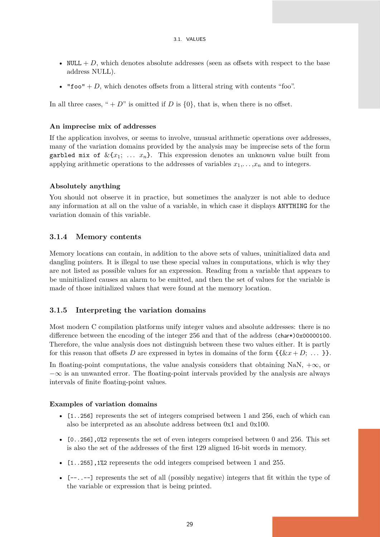#### 3.1. VALUES

- NULL  $+ D$ , which denotes absolute addresses (seen as offsets with respect to the base address NULL).
- "foo" + *D*, which denotes offsets from a litteral string with contents "foo".

In all three cases, " $+ D$ " is omitted if *D* is  $\{0\}$ , that is, when there is no offset.

### **An imprecise mix of addresses**

If the application involves, or seems to involve, unusual arithmetic operations over addresses, many of the variation domains provided by the analysis may be imprecise sets of the form garbled mix of  $\&\{x_1; \ldots x_n\}$ . This expression denotes an unknown value built from applying arithmetic operations to the addresses of variables  $x_1, \ldots, x_n$  and to integers.

### **Absolutely anything**

You should not observe it in practice, but sometimes the analyzer is not able to deduce any information at all on the value of a variable, in which case it displays ANYTHING for the variation domain of this variable.

# <span id="page-28-0"></span>**3.1.4 Memory contents**

Memory locations can contain, in addition to the above sets of values, uninitialized data and dangling pointers. It is illegal to use these special values in computations, which is why they are not listed as possible values for an expression. Reading from a variable that appears to be uninitialized causes an alarm to be emitted, and then the set of values for the variable is made of those initialized values that were found at the memory location.

# <span id="page-28-1"></span>**3.1.5 Interpreting the variation domains**

Most modern C compilation platforms unify integer values and absolute addresses: there is no difference between the encoding of the integer 256 and that of the address (char\*)0x00000100. Therefore, the value analysis does not distinguish between these two values either. It is partly for this reason that offsets *D* are expressed in bytes in domains of the form  $\{\&x + D; \ldots\}$ .

In floating-point computations, the value analysis considers that obtaining NaN,  $+\infty$ , or  $-\infty$  is an unwanted error. The floating-point intervals provided by the analysis are always intervals of finite floating-point values.

#### **Examples of variation domains**

- [1..256] represents the set of integers comprised between 1 and 256, each of which can also be interpreted as an absolute address between 0x1 and 0x100.
- [0..256],0%2 represents the set of even integers comprised between 0 and 256. This set is also the set of the addresses of the first 129 aligned 16-bit words in memory.
- $[1..255]$ , 1%2 represents the odd integers comprised between 1 and 255.
- $\bullet$  [--..--] represents the set of all (possibly negative) integers that fit within the type of the variable or expression that is being printed.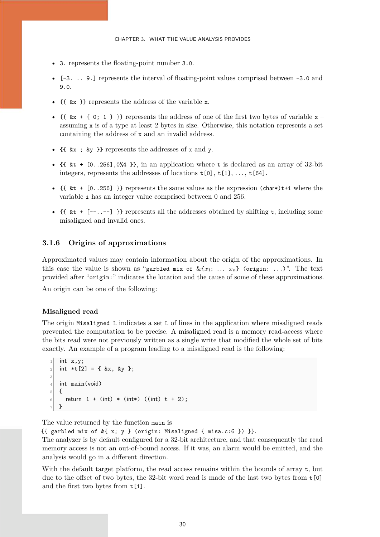- 3. represents the floating-point number 3.0.
- [-3. .. 9.] represents the interval of floating-point values comprised between -3.0 and 9.0.
- {{ &x }} represents the address of the variable x.
- $\{ \&x + \{ 0; 1 \}\}\$  represents the address of one of the first two bytes of variable  $x$ assuming x is of a type at least 2 bytes in size. Otherwise, this notation represents a set containing the address of x and an invalid address.
- {{ &x ; &y }} represents the addresses of x and y.
- $\{ \& t + [0..256], 0\%4] \}$ , in an application where t is declared as an array of 32-bit integers, represents the addresses of locations  $t[0], t[1], \ldots, t[64]$ .
- $\{ \{ \& t + [0..256] \} \}$  represents the same values as the expression (char\*)t+i where the variable i has an integer value comprised between 0 and 256.
- $\{ \& t + [--,,-] \& \}$  represents all the addresses obtained by shifting t, including some misaligned and invalid ones.

#### <span id="page-29-0"></span>**3.1.6 Origins of approximations**

Approximated values may contain information about the origin of the approximations. In this case the value is shown as "garbled mix of  $\&\{x_1; \ldots x_n\}$  (origin: ...)". The text provided after "origin:" indicates the location and the cause of some of these approximations.

An origin can be one of the following:

#### **Misaligned read**

The origin Misaligned L indicates a set L of lines in the application where misaligned reads prevented the computation to be precise. A misaligned read is a memory read-access where the bits read were not previously written as a single write that modified the whole set of bits exactly. An example of a program leading to a misaligned read is the following:

```
1 int x, y;
2 int *t[2] = { \&x, \&y \; };3
4 int main(void)
5 {
6 return 1 + (int) * (int*) ((int) t + 2);7 \vert \}
```
The value returned by the function main is

 ${f}$  garbled mix of  $kf$  x; y } (origin: Misaligned  ${f}$  misa.c:6 }) } }.

The analyzer is by default configured for a 32-bit architecture, and that consequently the read memory access is not an out-of-bound access. If it was, an alarm would be emitted, and the analysis would go in a different direction.

With the default target platform, the read access remains within the bounds of array  $t$ , but due to the offset of two bytes, the 32-bit word read is made of the last two bytes from  $t[0]$ and the first two bytes from t[1].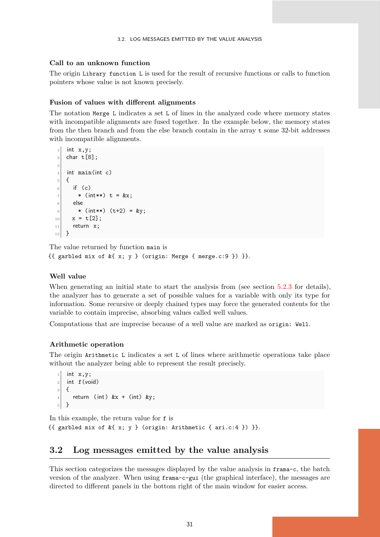#### **Call to an unknown function**

The origin Library function L is used for the result of recursive functions or calls to function pointers whose value is not known precisely.

#### **Fusion of values with different alignments**

The notation Merge L indicates a set L of lines in the analyzed code where memory states with incompatible alignments are fused together. In the example below, the memory states from the then branch and from the else branch contain in the array t some 32-bit addresses with incompatible alignments.

```
1 int x, y;
2 char t[8];
3
_4 int main(int c)
5 \uparrow6 if (c)
|7| * (int**) t = &x;
8 else
9 \vert \cdot \vert * (int**) (t+2) = &y;
10 x = t[2];
11 return x;
12 }
```
The value returned by function main is  $\{\{\right\}$  garbled mix of &{ x; y } (origin: Merge { merge.c:9 }) }}.

#### **Well value**

When generating an initial state to start the analysis from (see section [5.2.3](#page-53-0) for details), the analyzer has to generate a set of possible values for a variable with only its type for information. Some recursive or deeply chained types may force the generated contents for the variable to contain imprecise, absorbing values called well values.

Computations that are imprecise because of a well value are marked as origin: Well.

#### **Arithmetic operation**

The origin Arithmetic L indicates a set L of lines where arithmetic operations take place without the analyzer being able to represent the result precisely.

```
1 int x,y;
2 int f(void)3 \mid \n\begin{array}{c} 3 \end{array}|4| return (int) kx + (int) ky;5 }
```
<span id="page-30-0"></span>In this example, the return value for f is {{ garbled mix of &{ x; y } (origin: Arithmetic { ari.c:4 }) }}.

### **3.2 Log messages emitted by the value analysis**

<span id="page-30-1"></span>This section categorizes the messages displayed by the value analysis in frama-c, the batch version of the analyzer. When using frama-c-gui (the graphical interface), the messages are directed to different panels in the bottom right of the main window for easier access.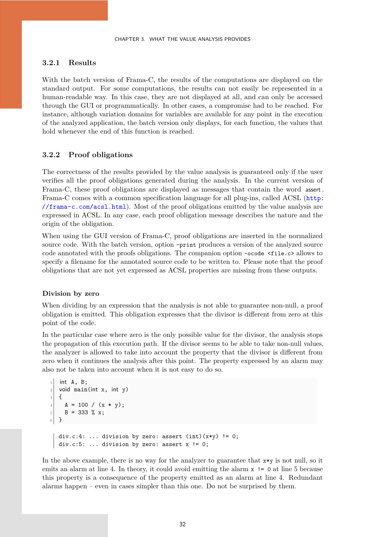#### **3.2.1 Results**

With the batch version of Frama-C, the results of the computations are displayed on the standard output. For some computations, the results can not easily be represented in a human-readable way. In this case, they are not displayed at all, and can only be accessed through the GUI or programmatically. In other cases, a compromise had to be reached. For instance, although variation domains for variables are available for any point in the execution of the analyzed application, the batch version only displays, for each function, the values that hold whenever the end of this function is reached.

#### <span id="page-31-0"></span>**3.2.2 Proof obligations**

The correctness of the results provided by the value analysis is guaranteed only if the user verifies all the proof obligations generated during the analysis. In the current version of Frama-C, these proof obligations are displayed as messages that contain the word assert . Frama-C comes with a common specification language for all plug-ins, called ACSL ([http:](http://frama-c.com/acsl.html) [//frama-c.com/acsl.html](http://frama-c.com/acsl.html)). Most of the proof obligations emitted by the value analysis are expressed in ACSL. In any case, each proof obligation message describes the nature and the origin of the obligation.

When using the GUI version of Frama-C, proof obligations are inserted in the normalized source code. With the batch version, option -print produces a version of the analyzed source code annotated with the proofs obligations. The companion option -ocode <file.c> allows to specify a filename for the annotated source code to be written to. Please note that the proof obligations that are not yet expressed as ACSL properties are missing from these outputs.

#### **Division by zero**

When dividing by an expression that the analysis is not able to guarantee non-null, a proof obligation is emitted. This obligation expresses that the divisor is different from zero at this point of the code.

In the particular case where zero is the only possible value for the divisor, the analysis stops the propagation of this execution path. If the divisor seems to be able to take non-null values, the analyzer is allowed to take into account the property that the divisor is different from zero when it continues the analysis after this point. The property expressed by an alarm may also not be taken into account when it is not easy to do so.

```
int A, B;
|2| void main(int x, int y)
3 \mid \mathbf{f}4 A = 100 / (x * y);
5 B = 333 % x;
6 }
  div.c:4: ... division by zero: assert (int)(x*y) != 0;
  div.c:5: ... division by zero: assert x != 0;
```
In the above example, there is no way for the analyzer to guarantee that  $x*y$  is not null, so it emits an alarm at line 4. In theory, it could avoid emitting the alarm x != 0 at line 5 because this property is a consequence of the property emitted as an alarm at line 4. Redundant alarms happen – even in cases simpler than this one. Do not be surprised by them.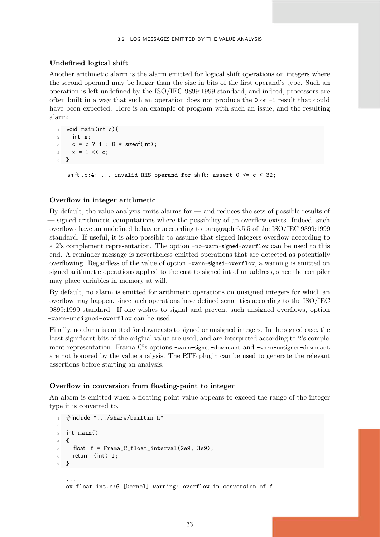#### **Undefined logical shift**

Another arithmetic alarm is the alarm emitted for logical shift operations on integers where the second operand may be larger than the size in bits of the first operand's type. Such an operation is left undefined by the ISO/IEC 9899:1999 standard, and indeed, processors are often built in a way that such an operation does not produce the 0 or -1 result that could have been expected. Here is an example of program with such an issue, and the resulting alarm:

```
1 void main(int c){
|2| int x;
|3| c = c ? 1 : 8 * sizeof(int);
4 x = 1 \leq c;
5 }
```
shift  $.c:4: ...$  invalid RHS operand for shift: assert  $0 \leq c \leq 32$ ;

#### **Overflow in integer arithmetic**

By default, the value analysis emits alarms for — and reduces the sets of possible results of — signed arithmetic computations where the possibility of an overflow exists. Indeed, such overflows have an undefined behavior acccording to paragraph 6.5.5 of the ISO/IEC 9899:1999 standard. If useful, it is also possible to assume that signed integers overflow according to a 2's complement representation. The option -no-warn-signed-overflow can be used to this end. A reminder message is nevertheless emitted operations that are detected as potentially overflowing. Regardless of the value of option -warn-signed-overflow, a warning is emitted on signed arithmetic operations applied to the cast to signed int of an address, since the compiler may place variables in memory at will.

By default, no alarm is emitted for arithmetic operations on unsigned integers for which an overflow may happen, since such operations have defined semantics according to the ISO/IEC 9899:1999 standard. If one wishes to signal and prevent such unsigned overflows, option -warn-unsigned-overflow can be used.

Finally, no alarm is emitted for downcasts to signed or unsigned integers. In the signed case, the least significant bits of the original value are used, and are interpreted according to 2's complement representation. Frama-C's options -warn-signed-downcast and -warn-unsigned-downcast are not honored by the value analysis. The RTE plugin can be used to generate the relevant assertions before starting an analysis.

#### **Overflow in conversion from floating-point to integer**

An alarm is emitted when a floating-point value appears to exceed the range of the integer type it is converted to.

```
|1| #include ".../share/builtin.h"
2
3 int main()
4 {
5 float f = Frama_C_float_interval(2e9, 3e9);
6 return (int) f;
7 }
   ...
  ov float int.c:6: [kernel] warning: overflow in conversion of f
```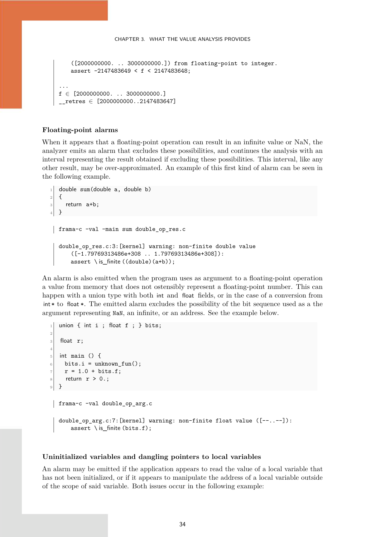```
([2000000000. .. 3000000000.]) from floating-point to integer.
   assert -2147483649 < f < 2147483648;
...
f \in [2000000000... 30000000000]_{--}retres \in [2000000000..2147483647]
```
#### **Floating-point alarms**

When it appears that a floating-point operation can result in an infinite value or NaN, the analyzer emits an alarm that excludes these possibilities, and continues the analysis with an interval representing the result obtained if excluding these possibilities. This interval, like any other result, may be over-approximated. An example of this first kind of alarm can be seen in the following example.

```
|1| double sum(double a, double b)
2 \mid \mathbf{f}3 return a+b;
4 }
  frama-c -val -main sum double_op_res.c
  double_op_res.c:3:[kernel] warning: non-finite double value
       ([-1.79769313486e+308 .. 1.79769313486e+308]):
      assert \ is_finite ((double)(a+b));
```
An alarm is also emitted when the program uses as argument to a floating-point operation a value from memory that does not ostensibly represent a floating-point number. This can happen with a union type with both int and float fields, or in the case of a conversion from int \* to float \*. The emitted alarm excludes the possibility of the bit sequence used as a the argument representing NaN, an infinite, or an address. See the example below.

```
union \{ int i; float f; \} bits;
\overline{2}3 float r;
4
5 int main () {
6 bits.i = unknown fun():
    r = 1.0 + bits.f;|8| return r > 0.;
9 }
 frama-c -val double_op_arg.c
  double_op_arg.c:7:[kernel] warning: non-finite float value ([--..--]):
      assert \ is_finite (bits.f);
```
#### **Uninitialized variables and dangling pointers to local variables**

An alarm may be emitted if the application appears to read the value of a local variable that has not been initialized, or if it appears to manipulate the address of a local variable outside of the scope of said variable. Both issues occur in the following example: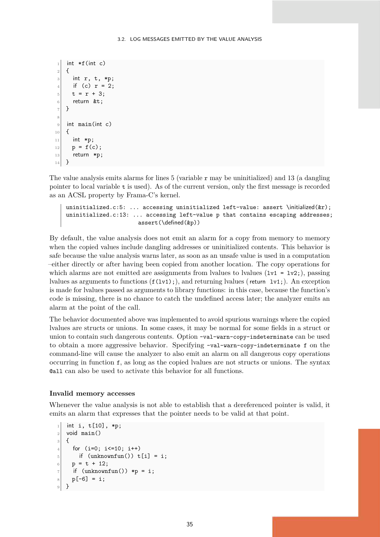#### 3.2. LOG MESSAGES EMITTED BY THE VALUE ANALYSIS

```
1 int *f(int c)
2 {
3 int r, t, *p;
4 if (c) r = 2;
5 t = r + 3;
6 return &t;
7 \vert \}8
9 int main(int c)
10^{1} {
11 int *p;
|12| p = f(c);
13 return *p;
|14| }
```
The value analysis emits alarms for lines  $5$  (variable  $r$  may be uninitialized) and 13 (a dangling pointer to local variable t is used). As of the current version, only the first message is recorded as an ACSL property by Frama-C's kernel.

```
uninitialized.c:5: ... accessing uninitialized left-value: assert \initialized(&r);
uninitialized.c:13: ... accessing left-value p that contains escaping addresses;
                      assert(\defined(&p))
```
By default, the value analysis does not emit an alarm for a copy from memory to memory when the copied values include dangling addresses or uninitialized contents. This behavior is safe because the value analysis warns later, as soon as an unsafe value is used in a computation –either directly or after having been copied from another location. The copy operations for which alarms are not emitted are assignments from lvalues to lvalues ( $1v1 = 1v2$ ;), passing lvalues as arguments to functions  $(f(1v1);)$ , and returning lvalues (return  $1v1;$ ). An exception is made for lvalues passed as arguments to library functions: in this case, because the function's code is missing, there is no chance to catch the undefined access later; the analyzer emits an alarm at the point of the call.

The behavior documented above was implemented to avoid spurious warnings where the copied lvalues are structs or unions. In some cases, it may be normal for some fields in a struct or union to contain such dangerous contents. Option -val-warn-copy-indeterminate can be used to obtain a more aggressive behavior. Specifying -val-warn-copy-indeterminate f on the command-line will cause the analyzer to also emit an alarm on all dangerous copy operations occurring in function f, as long as the copied lvalues are not structs or unions. The syntax @all can also be used to activate this behavior for all functions.

#### **Invalid memory accesses**

Whenever the value analysis is not able to establish that a dereferenced pointer is valid, it emits an alarm that expresses that the pointer needs to be valid at that point.

```
1 int i, t[10], *p;
_2 void main()
3 \mid \mathcal{A}4 for (i=0; i<=10; i++)
|5| if (unknownfun()) t[i] = i;
6 p = t + 12;
7 if (unknownfun()) *p = i;
|8| p[-6] = i;
9 }
```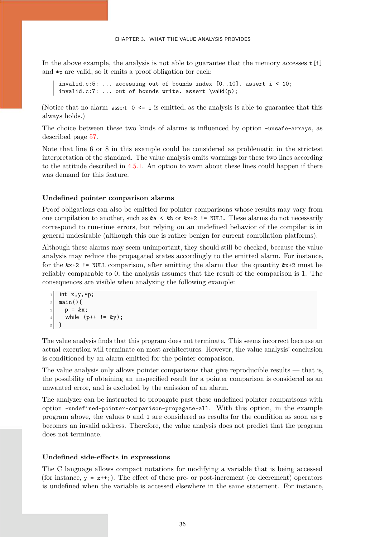In the above example, the analysis is not able to guarantee that the memory accesses  $t[i]$ and \*p are valid, so it emits a proof obligation for each:

invalid.c:5: ... accessing out of bounds index  $[0..10]$ . assert i < 10; invalid.c:7: ... out of bounds write. assert \valid(p);

(Notice that no alarm assert  $\circ \leq i$  is emitted, as the analysis is able to guarantee that this always holds.)

The choice between these two kinds of alarms is influenced by option -unsafe-arrays, as described page [57.](#page-56-1)

Note that line 6 or 8 in this example could be considered as problematic in the strictest interpretation of the standard. The value analysis omits warnings for these two lines according to the attitude described in [4.5.1.](#page-45-0) An option to warn about these lines could happen if there was demand for this feature.

#### **Undefined pointer comparison alarms**

Proof obligations can also be emitted for pointer comparisons whose results may vary from one compilation to another, such as  $\&a \leq \&b$  or  $\&x+2$  != NULL. These alarms do not necessarily correspond to run-time errors, but relying on an undefined behavior of the compiler is in general undesirable (although this one is rather benign for current compilation platforms).

Although these alarms may seem unimportant, they should still be checked, because the value analysis may reduce the propagated states accordingly to the emitted alarm. For instance, for the  $\&x+2$  != NULL comparison, after emitting the alarm that the quantity  $\&x+2$  must be reliably comparable to 0, the analysis assumes that the result of the comparison is 1. The consequences are visible when analyzing the following example:

```
int x,y,*p;2 \mid \text{main}()3 \mid p = \&x;4 while (p++ != \&y);
5 }
```
The value analysis finds that this program does not terminate. This seems incorrect because an actual execution will terminate on most architectures. However, the value analysis' conclusion is conditioned by an alarm emitted for the pointer comparison.

The value analysis only allows pointer comparisons that give reproducible results — that is, the possibility of obtaining an unspecified result for a pointer comparison is considered as an unwanted error, and is excluded by the emission of an alarm.

The analyzer can be instructed to propagate past these undefined pointer comparisons with option -undefined-pointer-comparison-propagate-all. With this option, in the example program above, the values 0 and 1 are considered as results for the condition as soon as p becomes an invalid address. Therefore, the value analysis does not predict that the program does not terminate.

#### **Undefined side-effects in expressions**

The C language allows compact notations for modifying a variable that is being accessed (for instance,  $y = x++$ ;). The effect of these pre- or post-increment (or decrement) operators is undefined when the variable is accessed elsewhere in the same statement. For instance,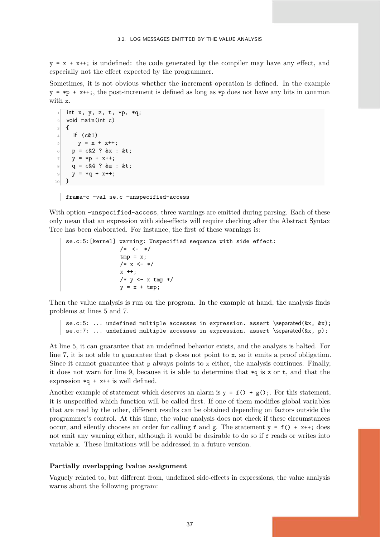$y = x + x$ <sup>++</sup>; is undefined: the code generated by the compiler may have any effect, and especially not the effect expected by the programmer.

Sometimes, it is not obvious whether the increment operation is defined. In the example  $y = *p + x++;$ , the post-increment is defined as long as  $*\mathfrak{p}$  does not have any bits in common with x.

```
1 int x, y, z, t, *p, *q;
2 void main(int c)
3 \mid \mathbf{f}4 if (c&1)
5 y = x + x++;
6 p = c&2 ? &x : &t;
|7| y = *p + x++;
|8| q = c&4 ? &z : &t;
9 \mid y = *q + x++;_{10} }
```
frama-c -val se.c -unspecified-access

With option -unspecified-access, three warnings are emitted during parsing. Each of these only mean that an expression with side-effects will require checking after the Abstract Syntax Tree has been elaborated. For instance, the first of these warnings is:

```
se.c:5:[kernel] warning: Unspecified sequence with side effect:
                /* <- */tmp = x;/* x < - */x ++;
                /* y <- x tmp */
                y = x + tmp;
```
Then the value analysis is run on the program. In the example at hand, the analysis finds problems at lines 5 and 7.

```
se.c:5: ... undefined multiple accesses in expression. assert \separated(&x, &x);
se.c:7: ... undefined multiple accesses in expression. assert \separated(&x, p);
```
At line 5, it can guarantee that an undefined behavior exists, and the analysis is halted. For line 7, it is not able to guarantee that p does not point to x, so it emits a proof obligation. Since it cannot guarantee that p always points to x either, the analysis continues. Finally, it does not warn for line 9, because it is able to determine that \*q is z or t, and that the expression  $*_q$  +  $x^{++}$  is well defined.

Another example of statement which deserves an alarm is  $y = f() + g()$ ;. For this statement, it is unspecified which function will be called first. If one of them modifies global variables that are read by the other, different results can be obtained depending on factors outside the programmer's control. At this time, the value analysis does not check if these circumstances occur, and silently chooses an order for calling f and g. The statement  $y = f() + x^{++}$ ; does not emit any warning either, although it would be desirable to do so if f reads or writes into variable x. These limitations will be addressed in a future version.

#### **Partially overlapping lvalue assignment**

Vaguely related to, but different from, undefined side-effects in expressions, the value analysis warns about the following program: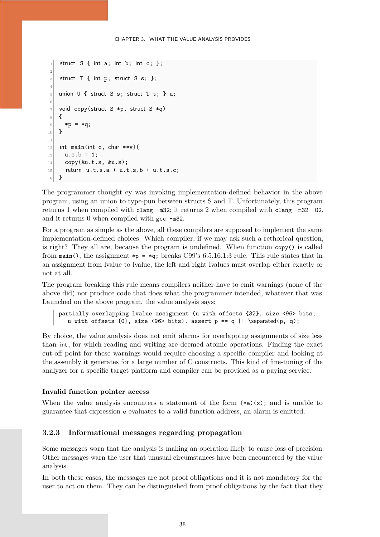#### CHAPTER 3. WHAT THE VALUE ANALYSIS PROVIDES

```
_1 struct S { int a; int b; int c; };
2
|3| struct T { int p; struct S s; };
4
5 union U { struct S s; struct T t; } u;
6
7 void copy (struct S *p, struct S *q)
|8| f
9 *p = *q;
10 \mid \}11
_{12} int main(int c, char **v){
|13| u.s.b = 1;
_{14} copy(&u.t.s, &u.s);
15 return u.t.s.a + u.t.s.b + u.t.s.c;
16 }
```
The programmer thought ey was invoking implementation-defined behavior in the above program, using an union to type-pun between structs S and T. Unfortunately, this program returns 1 when compiled with clang -m32; it returns 2 when compiled with clang -m32 -O2, and it returns 0 when compiled with gcc -m32.

For a program as simple as the above, all these compilers are supposed to implement the same implementation-defined choices. Which compiler, if we may ask such a rethorical question, is right? They all are, because the program is undefined. When function copy() is called from main(), the assignment  $*_p = *_q$ ; breaks C99's 6.5.16.1:3 rule. This rule states that in an assignment from lvalue to lvalue, the left and right lvalues must overlap either exactly or not at all.

The program breaking this rule means compilers neither have to emit warnings (none of the above did) nor produce code that does what the programmer intended, whatever that was. Launched on the above program, the value analysis says:

partially overlapping lvalue assignment (u with offsets {32}, size <96> bits; u with offsets {0}, size <96> bits). assert p == q || \separated(p, q);

By choice, the value analysis does not emit alarms for overlapping assignments of size less than int, for which reading and writing are deemed atomic operations. Finding the exact cut-off point for these warnings would require choosing a specific compiler and looking at the assembly it generates for a large number of C constructs. This kind of fine-tuning of the analyzer for a specific target platform and compiler can be provided as a paying service.

#### **Invalid function pointer access**

When the value analysis encounters a statement of the form  $(*e)(x)$ ; and is unable to guarantee that expression e evaluates to a valid function address, an alarm is emitted.

## **3.2.3 Informational messages regarding propagation**

Some messages warn that the analysis is making an operation likely to cause loss of precision. Other messages warn the user that unusual circumstances have been encountered by the value analysis.

In both these cases, the messages are not proof obligations and it is not mandatory for the user to act on them. They can be distinguished from proof obligations by the fact that they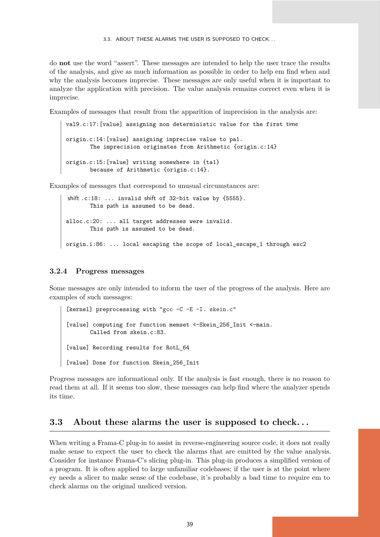do **not** use the word "assert". These messages are intended to help the user trace the results of the analysis, and give as much information as possible in order to help em find when and why the analysis becomes imprecise. These messages are only useful when it is important to analyze the application with precision. The value analysis remains correct even when it is imprecise.

Examples of messages that result from the apparition of imprecision in the analysis are:

```
val9.c:17:[value] assigning non deterministic value for the first time
origin.c:14:[value] assigning imprecise value to pa1.
       The imprecision originates from Arithmetic {origin.c:14}
origin.c:15:[value] writing somewhere in {ta1}
       because of Arithmetic {origin.c:14}.
```
Examples of messages that correspond to unusual circumstances are:

```
shift .c:18: ... invalid shift of 32-bit value by {5555}.
       This path is assumed to be dead.
alloc.c:20: ... all target addresses were invalid.
       This path is assumed to be dead.
origin.i:86: ... local escaping the scope of local_escape_1 through esc2
```
#### **3.2.4 Progress messages**

Some messages are only intended to inform the user of the progress of the analysis. Here are examples of such messages:

```
[kernel] preprocessing with "gcc -C -E -I. skein.c"
[value] computing for function memset <-Skein_256_Init <-main.
       Called from skein.c:83.
[value] Recording results for RotL_64
[value] Done for function Skein_256_Init
```
Progress messages are informational only. If the analysis is fast enough, there is no reason to read them at all. If it seems too slow, these messages can help find where the analyzer spends its time.

# **3.3 About these alarms the user is supposed to check. . .**

When writing a Frama-C plug-in to assist in reverse-engineering source code, it does not really make sense to expect the user to check the alarms that are emitted by the value analysis. Consider for instance Frama-C's slicing plug-in. This plug-in produces a simplified version of a program. It is often applied to large unfamiliar codebases; if the user is at the point where ey needs a slicer to make sense of the codebase, it's probably a bad time to require em to check alarms on the original unsliced version.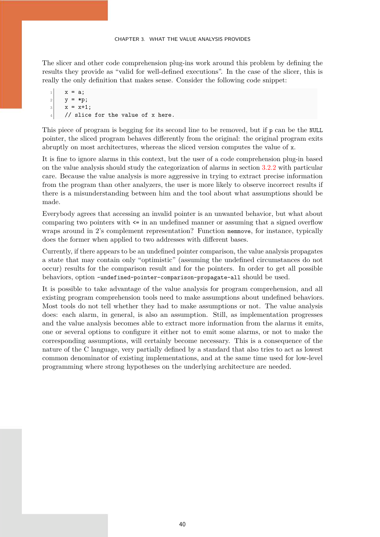The slicer and other code comprehension plug-ins work around this problem by defining the results they provide as "valid for well-defined executions". In the case of the slicer, this is really the only definition that makes sense. Consider the following code snippet:

```
x = a:
2 y = *p;3 \times = x+1;4 // slice for the value of x here.
```
This piece of program is begging for its second line to be removed, but if p can be the NULL pointer, the sliced program behaves differently from the original: the original program exits abruptly on most architectures, whereas the sliced version computes the value of x.

It is fine to ignore alarms in this context, but the user of a code comprehension plug-in based on the value analysis should study the categorization of alarms in section [3.2.2](#page-31-0) with particular care. Because the value analysis is more aggressive in trying to extract precise information from the program than other analyzers, the user is more likely to observe incorrect results if there is a misunderstanding between him and the tool about what assumptions should be made.

Everybody agrees that accessing an invalid pointer is an unwanted behavior, but what about comparing two pointers with <= in an undefined manner or assuming that a signed overflow wraps around in 2's complement representation? Function memmove, for instance, typically does the former when applied to two addresses with different bases.

Currently, if there appears to be an undefined pointer comparison, the value analysis propagates a state that may contain only "optimistic" (assuming the undefined circumstances do not occur) results for the comparison result and for the pointers. In order to get all possible behaviors, option -undefined-pointer-comparison-propagate-all should be used.

It is possible to take advantage of the value analysis for program comprehension, and all existing program comprehension tools need to make assumptions about undefined behaviors. Most tools do not tell whether they had to make assumptions or not. The value analysis does: each alarm, in general, is also an assumption. Still, as implementation progresses and the value analysis becomes able to extract more information from the alarms it emits, one or several options to configure it either not to emit some alarms, or not to make the corresponding assumptions, will certainly become necessary. This is a consequence of the nature of the C language, very partially defined by a standard that also tries to act as lowest common denominator of existing implementations, and at the same time used for low-level programming where strong hypotheses on the underlying architecture are needed.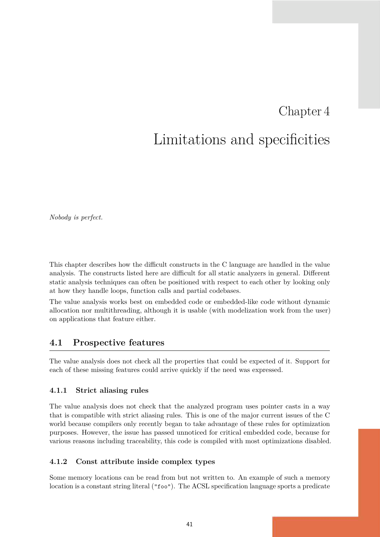# Chapter 4 Limitations and specificities

*Nobody is perfect.*

This chapter describes how the difficult constructs in the C language are handled in the value analysis. The constructs listed here are difficult for all static analyzers in general. Different static analysis techniques can often be positioned with respect to each other by looking only at how they handle loops, function calls and partial codebases.

The value analysis works best on embedded code or embedded-like code without dynamic allocation nor multithreading, although it is usable (with modelization work from the user) on applications that feature either.

# **4.1 Prospective features**

The value analysis does not check all the properties that could be expected of it. Support for each of these missing features could arrive quickly if the need was expressed.

## **4.1.1 Strict aliasing rules**

The value analysis does not check that the analyzed program uses pointer casts in a way that is compatible with strict aliasing rules. This is one of the major current issues of the C world because compilers only recently began to take advantage of these rules for optimization purposes. However, the issue has passed unnoticed for critical embedded code, because for various reasons including traceability, this code is compiled with most optimizations disabled.

## **4.1.2 Const attribute inside complex types**

Some memory locations can be read from but not written to. An example of such a memory location is a constant string literal ("foo"). The ACSL specification language sports a predicate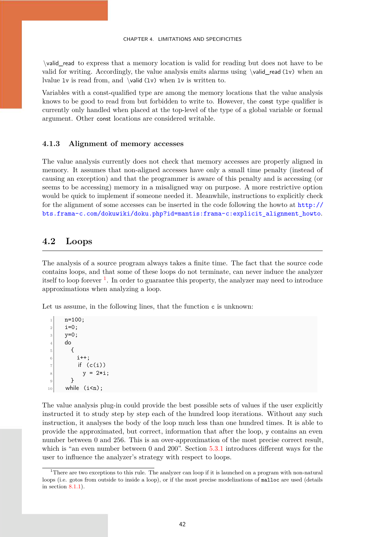\valid\_read to express that a memory location is valid for reading but does not have to be valid for writing. Accordingly, the value analysis emits alarms using  $\lvert \cdot \rangle$  when an lvalue lv is read from, and \valid (lv) when lv is written to.

Variables with a const-qualified type are among the memory locations that the value analysis knows to be good to read from but forbidden to write to. However, the const type qualifier is currently only handled when placed at the top-level of the type of a global variable or formal argument. Other const locations are considered writable.

## **4.1.3 Alignment of memory accesses**

The value analysis currently does not check that memory accesses are properly aligned in memory. It assumes that non-aligned accesses have only a small time penalty (instead of causing an exception) and that the programmer is aware of this penalty and is accessing (or seems to be accessing) memory in a misaligned way on purpose. A more restrictive option would be quick to implement if someone needed it. Meanwhile, instructions to explicitly check for the alignment of some accesses can be inserted in the code following the howto at [http://](http://bts.frama-c.com/dokuwiki/doku.php?id=mantis:frama-c:explicit_alignment_howto) [bts.frama-c.com/dokuwiki/doku.php?id=mantis:frama-c:explicit\\_alignment\\_howto](http://bts.frama-c.com/dokuwiki/doku.php?id=mantis:frama-c:explicit_alignment_howto).

## <span id="page-41-1"></span>**4.2 Loops**

The analysis of a source program always takes a finite time. The fact that the source code contains loops, and that some of these loops do not terminate, can never induce the analyzer itself to loop forever<sup>[1](#page-41-0)</sup>. In order to guarantee this property, the analyzer may need to introduce approximations when analyzing a loop.

Let us assume, in the following lines, that the function c is unknown:

```
n = 100:
2 \mid \mathbf{i}=0:
3 \times 7 = 0;
4 do
\vert 5 \vert 5 \vert6 i^{++};
7 if (c(i))
|8| y = 2*i;
9 }
_{10} while (i<n);
```
The value analysis plug-in could provide the best possible sets of values if the user explicitly instructed it to study step by step each of the hundred loop iterations. Without any such instruction, it analyses the body of the loop much less than one hundred times. It is able to provide the approximated, but correct, information that after the loop, y contains an even number between 0 and 256. This is an over-approximation of the most precise correct result, which is "an even number between 0 and 200". Section [5.3.1](#page-57-0) introduces different ways for the user to influence the analyzer's strategy with respect to loops.

<span id="page-41-2"></span><span id="page-41-0"></span><sup>&</sup>lt;sup>1</sup>There are two exceptions to this rule. The analyzer can loop if it is launched on a program with non-natural loops (i.e. gotos from outside to inside a loop), or if the most precise modelizations of malloc are used (details in section  $8.1.1$ ).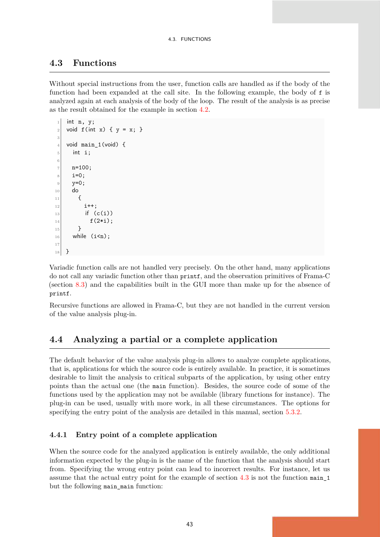# **4.3 Functions**

Without special instructions from the user, function calls are handled as if the body of the function had been expanded at the call site. In the following example, the body of f is analyzed again at each analysis of the body of the loop. The result of the analysis is as precise as the result obtained for the example in section [4.2.](#page-41-1)

```
1 int n, v:
|2| void f(int x) \{ y = x; \}3
_4 void main 1(void) {
5 int i;
6
|7| n=100;
|8| i=0;
9 y=0;
10 do
11 {
12 i++;
_{13} if (c(i))
14 f(2*i);
15 }
_{16} while (i\leq n);
17
18 }
```
Variadic function calls are not handled very precisely. On the other hand, many applications do not call any variadic function other than printf, and the observation primitives of Frama-C (section [8.3\)](#page-76-0) and the capabilities built in the GUI more than make up for the absence of printf.

Recursive functions are allowed in Frama-C, but they are not handled in the current version of the value analysis plug-in.

# **4.4 Analyzing a partial or a complete application**

The default behavior of the value analysis plug-in allows to analyze complete applications, that is, applications for which the source code is entirely available. In practice, it is sometimes desirable to limit the analysis to critical subparts of the application, by using other entry points than the actual one (the main function). Besides, the source code of some of the functions used by the application may not be available (library functions for instance). The plug-in can be used, usually with more work, in all these circumstances. The options for specifying the entry point of the analysis are detailed in this manual, section [5.3.2.](#page-60-0)

## **4.4.1 Entry point of a complete application**

When the source code for the analyzed application is entirely available, the only additional information expected by the plug-in is the name of the function that the analysis should start from. Specifying the wrong entry point can lead to incorrect results. For instance, let us assume that the actual entry point for the example of section [4.3](#page-41-2) is not the function main\_1 but the following main main function: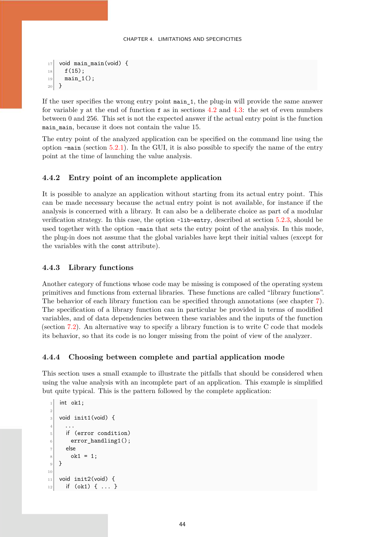```
17 void main main(void) {
18 f(15);
_{19} main_1();
20 \mid \}
```
If the user specifies the wrong entry point main\_1, the plug-in will provide the same answer for variable y at the end of function f as in sections [4.2](#page-41-1) and [4.3:](#page-41-2) the set of even numbers between 0 and 256. This set is not the expected answer if the actual entry point is the function main\_main, because it does not contain the value 15.

The entry point of the analyzed application can be specified on the command line using the option  $-\text{main}$  (section [5.2.1\)](#page-51-0). In the GUI, it is also possible to specify the name of the entry point at the time of launching the value analysis.

## **4.4.2 Entry point of an incomplete application**

It is possible to analyze an application without starting from its actual entry point. This can be made necessary because the actual entry point is not available, for instance if the analysis is concerned with a library. It can also be a deliberate choice as part of a modular verification strategy. In this case, the option -lib-entry, described at section [5.2.3,](#page-53-0) should be used together with the option -main that sets the entry point of the analysis. In this mode, the plug-in does not assume that the global variables have kept their initial values (except for the variables with the const attribute).

## **4.4.3 Library functions**

Another category of functions whose code may be missing is composed of the operating system primitives and functions from external libraries. These functions are called "library functions". The behavior of each library function can be specified through annotations (see chapter [7\)](#page-68-0). The specification of a library function can in particular be provided in terms of modified variables, and of data dependencies between these variables and the inputs of the function (section [7.2\)](#page-71-0). An alternative way to specify a library function is to write C code that models its behavior, so that its code is no longer missing from the point of view of the analyzer.

#### **4.4.4 Choosing between complete and partial application mode**

This section uses a small example to illustrate the pitfalls that should be considered when using the value analysis with an incomplete part of an application. This example is simplified but quite typical. This is the pattern followed by the complete application:

```
1 int ok1;
2
3 void init1(void) {
\frac{4}{1} ...
5 if (error condition)
6 error_handling1();
|7| else
|8| ok1 = 1;
9 }
10
11 void init2(void) {
_{12} if (ok1) { ... }
```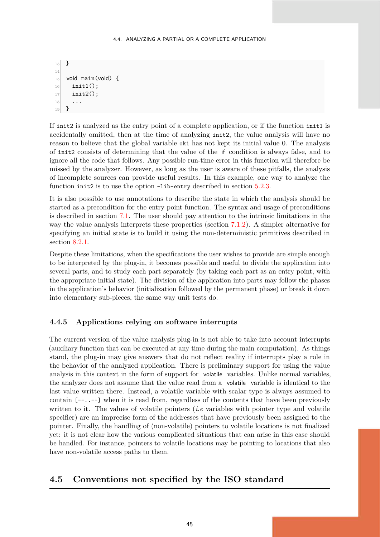```
13 }
14
15 void main(void) {
_{16} init1();
17 init2();
18
19 }
```
If init2 is analyzed as the entry point of a complete application, or if the function init1 is accidentally omitted, then at the time of analyzing init2, the value analysis will have no reason to believe that the global variable ok1 has not kept its initial value 0. The analysis of init2 consists of determining that the value of the if condition is always false, and to ignore all the code that follows. Any possible run-time error in this function will therefore be missed by the analyzer. However, as long as the user is aware of these pitfalls, the analysis of incomplete sources can provide useful results. In this example, one way to analyze the function init2 is to use the option -lib-entry described in section [5.2.3.](#page-53-0)

It is also possible to use annotations to describe the state in which the analysis should be started as a precondition for the entry point function. The syntax and usage of preconditions is described in section [7.1.](#page-68-1) The user should pay attention to the intrinsic limitations in the way the value analysis interprets these properties (section [7.1.2\)](#page-69-0). A simpler alternative for specifying an initial state is to build it using the non-deterministic primitives described in section [8.2.1.](#page-75-0)

Despite these limitations, when the specifications the user wishes to provide are simple enough to be interpreted by the plug-in, it becomes possible and useful to divide the application into several parts, and to study each part separately (by taking each part as an entry point, with the appropriate initial state). The division of the application into parts may follow the phases in the application's behavior (initialization followed by the permanent phase) or break it down into elementary sub-pieces, the same way unit tests do.

## **4.4.5 Applications relying on software interrupts**

The current version of the value analysis plug-in is not able to take into account interrupts (auxiliary function that can be executed at any time during the main computation). As things stand, the plug-in may give answers that do not reflect reality if interrupts play a role in the behavior of the analyzed application. There is preliminary support for using the value analysis in this context in the form of support for volatile variables. Unlike normal variables, the analyzer does not assume that the value read from a volatile variable is identical to the last value written there. Instead, a volatile variable with scalar type is always assumed to contain [--..--] when it is read from, regardless of the contents that have been previously written to it. The values of volatile pointers *(i.e* variables with pointer type and volatile specifier) are an imprecise form of the addresses that have previously been assigned to the pointer. Finally, the handling of (non-volatile) pointers to volatile locations is not finalized yet: it is not clear how the various complicated situations that can arise in this case should be handled. For instance, pointers to volatile locations may be pointing to locations that also have non-volatile access paths to them.

# **4.5 Conventions not specified by the ISO standard**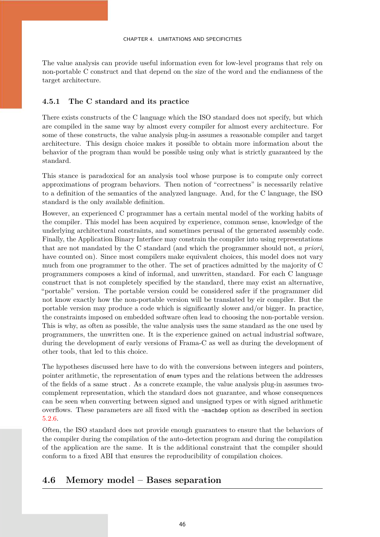The value analysis can provide useful information even for low-level programs that rely on non-portable C construct and that depend on the size of the word and the endianness of the target architecture.

## <span id="page-45-0"></span>**4.5.1 The C standard and its practice**

There exists constructs of the C language which the ISO standard does not specify, but which are compiled in the same way by almost every compiler for almost every architecture. For some of these constructs, the value analysis plug-in assumes a reasonable compiler and target architecture. This design choice makes it possible to obtain more information about the behavior of the program than would be possible using only what is strictly guaranteed by the standard.

This stance is paradoxical for an analysis tool whose purpose is to compute only correct approximations of program behaviors. Then notion of "correctness" is necessarily relative to a definition of the semantics of the analyzed language. And, for the C language, the ISO standard is the only available definition.

However, an experienced C programmer has a certain mental model of the working habits of the compiler. This model has been acquired by experience, common sense, knowledge of the underlying architectural constraints, and sometimes perusal of the generated assembly code. Finally, the Application Binary Interface may constrain the compiler into using representations that are not mandated by the C standard (and which the programmer should not, *a priori*, have counted on). Since most compilers make equivalent choices, this model does not vary much from one programmer to the other. The set of practices admitted by the majority of C programmers composes a kind of informal, and unwritten, standard. For each C language construct that is not completely specified by the standard, there may exist an alternative, "portable" version. The portable version could be considered safer if the programmer did not know exactly how the non-portable version will be translated by eir compiler. But the portable version may produce a code which is significantly slower and/or bigger. In practice, the constraints imposed on embedded software often lead to choosing the non-portable version. This is why, as often as possible, the value analysis uses the same standard as the one used by programmers, the unwritten one. It is the experience gained on actual industrial software, during the development of early versions of Frama-C as well as during the development of other tools, that led to this choice.

The hypotheses discussed here have to do with the conversions between integers and pointers, pointer arithmetic, the representation of enum types and the relations between the addresses of the fields of a same struct . As a concrete example, the value analysis plug-in assumes twocomplement representation, which the standard does not guarantee, and whose consequences can be seen when converting between signed and unsigned types or with signed arithmetic overflows. These parameters are all fixed with the -machdep option as described in section [5.2.6.](#page-56-0)

Often, the ISO standard does not provide enough guarantees to ensure that the behaviors of the compiler during the compilation of the auto-detection program and during the compilation of the application are the same. It is the additional constraint that the compiler should conform to a fixed ABI that ensures the reproducibility of compilation choices.

# **4.6 Memory model – Bases separation**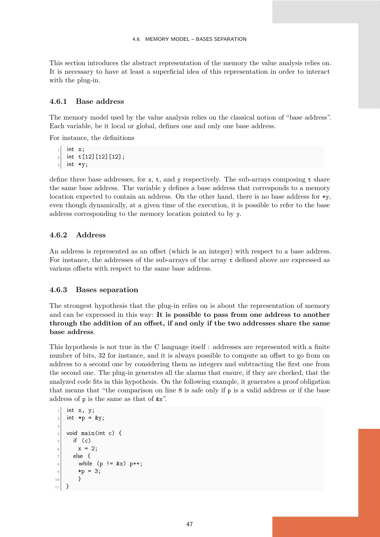This section introduces the abstract representation of the memory the value analysis relies on. It is necessary to have at least a superficial idea of this representation in order to interact with the plug-in.

## **4.6.1 Base address**

The memory model used by the value analysis relies on the classical notion of "base address". Each variable, be it local or global, defines one and only one base address.

For instance, the definitions

 $1$  int x; 2 int t[12][12][12];  $3$  int \*y;

define three base addresses, for  $x$ ,  $t$ , and y respectively. The sub-arrays composing  $t$  share the same base address. The variable y defines a base address that corresponds to a memory location expected to contain an address. On the other hand, there is no base address for  $\ast y$ , even though dynamically, at a given time of the execution, it is possible to refer to the base address corresponding to the memory location pointed to by y.

## **4.6.2 Address**

An address is represented as an offset (which is an integer) with respect to a base address. For instance, the addresses of the sub-arrays of the array t defined above are expressed as various offsets with respect to the same base address.

#### **4.6.3 Bases separation**

The strongest hypothesis that the plug-in relies on is about the representation of memory and can be expressed in this way: **It is possible to pass from one address to another through the addition of an offset, if and only if the two addresses share the same base address**.

This hypothesis is not true in the C language itself : addresses are represented with a finite number of bits, 32 for instance, and it is always possible to compute an offset to go from on address to a second one by considering them as integers and subtracting the first one from the second one. The plug-in generates all the alarms that ensure, if they are checked, that the analyzed code fits in this hypothesis. On the following example, it generates a proof obligation that means that "the comparison on line 8 is safe only if p is a valid address or if the base address of p is the same as that of &x".

```
1 int x, y;
\boxed{2} int *p = &y;
3
_4 void main(int c) {
5 if (c)
6 x = 2;|7| else {
|8| while (p != &x) p++;
9 *p = 3;
10 }
11 \, | \}
```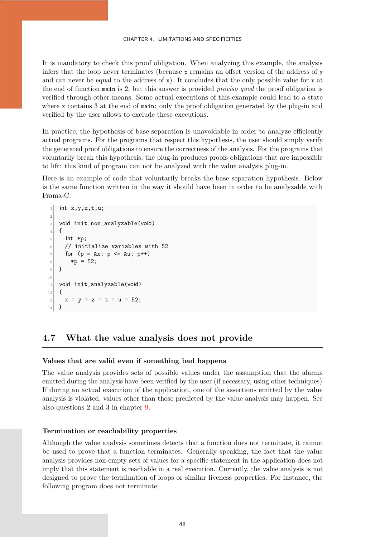#### CHAPTER 4. LIMITATIONS AND SPECIFICITIES

It is mandatory to check this proof obligation. When analyzing this example, the analysis infers that the loop never terminates (because p remains an offset version of the address of y and can never be equal to the address of  $x$ ). It concludes that the only possible value for x at the end of function main is 2, but this answer is provided *proviso quod* the proof obligation is verified through other means. Some actual executions of this example could lead to a state where x contains 3 at the end of main: only the proof obligation generated by the plug-in and verified by the user allows to exclude these executions.

In practice, the hypothesis of base separation is unavoidable in order to analyze efficiently actual programs. For the programs that respect this hypothesis, the user should simply verify the generated proof obligations to ensure the correctness of the analysis. For the programs that voluntarily break this hypothesis, the plug-in produces proofs obligations that are impossible to lift: this kind of program can not be analyzed with the value analysis plug-in.

Here is an example of code that voluntarily breaks the base separation hypothesis. Below is the same function written in the way it should have been in order to be analyzable with Frama-C.

```
_1 int x,y,z,t,u;
\overline{2}3 void init_non_analyzable(void)
4 \mid \mathbf{f}5 int *p;
6 // initialize variables with 52
|7| for (p = &x; p <= &u; p++)
| *p = 52;
<sup>9</sup> }
10
11 void init_analyzable(void)
12 {
13 x = y = z = t = u = 52;|14| }
```
# **4.7 What the value analysis does not provide**

#### **Values that are valid even if something bad happens**

The value analysis provides sets of possible values under the assumption that the alarms emitted during the analysis have been verified by the user (if necessary, using other techniques). If during an actual execution of the application, one of the assertions emitted by the value analysis is violated, values other than those predicted by the value analysis may happen. See also questions 2 and 3 in chapter [9.](#page-78-0)

#### **Termination or reachability properties**

Although the value analysis sometimes detects that a function does not terminate, it cannot be used to prove that a function terminates. Generally speaking, the fact that the value analysis provides non-empty sets of values for a specific statement in the application does not imply that this statement is reachable in a real execution. Currently, the value analysis is not designed to prove the termination of loops or similar liveness properties. For instance, the following program does not terminate: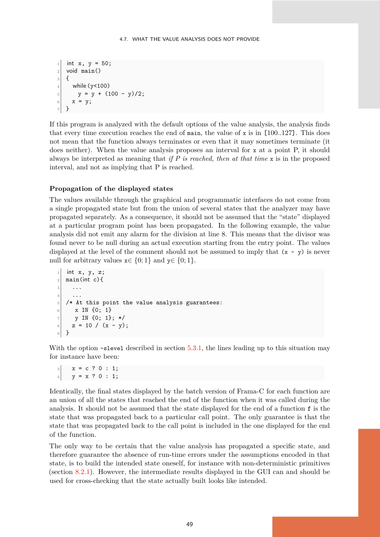```
1 int x, y = 50;
2 void main()
3 {
_4 while (y<100)
|5| y = y + (100 - y)/2;
6 x = y;
7 }
```
If this program is analyzed with the default options of the value analysis, the analysis finds that every time execution reaches the end of main, the value of x is in [100*..*127]. This does not mean that the function always terminates or even that it may sometimes terminate (it does neither). When the value analysis proposes an interval for x at a point P, it should always be interpreted as meaning that *if P is reached, then at that time* x is in the proposed interval, and not as implying that P is reached.

#### **Propagation of the displayed states**

The values available through the graphical and programmatic interfaces do not come from a single propagated state but from the union of several states that the analyzer may have propagated separately. As a consequence, it should not be assumed that the "state" displayed at a particular program point has been propagated. In the following example, the value analysis did not emit any alarm for the division at line 8. This means that the divisor was found never to be null during an actual execution starting from the entry point. The values displayed at the level of the comment should not be assumed to imply that  $(x - y)$  is never null for arbitrary values  $x \in \{0; 1\}$  and  $y \in \{0; 1\}$ .

```
1 int x, y, z;
_2 main(int c){
3 ...
\left| \begin{array}{ccc} 4 & \ldots \end{array} \right||5| /* At this point the value analysis guarantees:
6 x IN {0; 1}
7 y IN {0; 1}; */
|8| z = 10 / (x - y);
9 }
```
With the option -slevel described in section [5.3.1,](#page-58-0) the lines leading up to this situation may for instance have been:

```
|3| x = c ? 0 : 1;
4 \mid y = x ? 0 : 1;
```
Identically, the final states displayed by the batch version of Frama-C for each function are an union of all the states that reached the end of the function when it was called during the analysis. It should not be assumed that the state displayed for the end of a function f is the state that was propagated back to a particular call point. The only guarantee is that the state that was propagated back to the call point is included in the one displayed for the end of the function.

The only way to be certain that the value analysis has propagated a specific state, and therefore guarantee the absence of run-time errors under the assumptions encoded in that state, is to build the intended state oneself, for instance with non-deterministic primitives (section [8.2.1\)](#page-75-0). However, the intermediate results displayed in the GUI can and should be used for cross-checking that the state actually built looks like intended.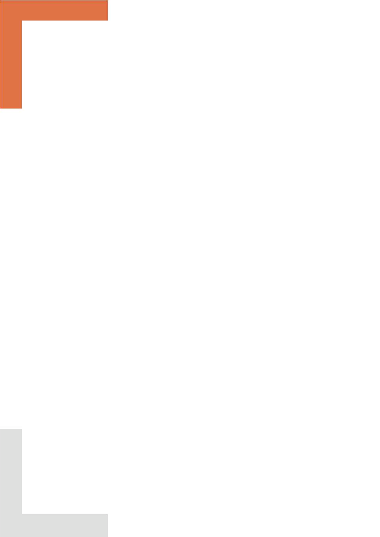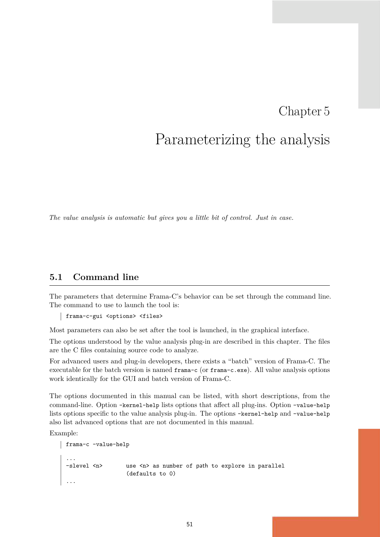# Chapter 5 Parameterizing the analysis

*The value analysis is automatic but gives you a little bit of control. Just in case.*

# **5.1 Command line**

The parameters that determine Frama-C's behavior can be set through the command line. The command to use to launch the tool is:

```
frama-c-gui <options> <files>
```
Most parameters can also be set after the tool is launched, in the graphical interface.

The options understood by the value analysis plug-in are described in this chapter. The files are the C files containing source code to analyze.

For advanced users and plug-in developers, there exists a "batch" version of Frama-C. The executable for the batch version is named frama-c (or frama-c.exe). All value analysis options work identically for the GUI and batch version of Frama-C.

The options documented in this manual can be listed, with short descriptions, from the command-line. Option -kernel-help lists options that affect all plug-ins. Option -value-help lists options specific to the value analysis plug-in. The options -kernel-help and -value-help also list advanced options that are not documented in this manual.

Example:

```
frama-c -value-help
...
-slevel \langle n \rangle use \langle n \rangle as number of path to explore in parallel
                      (defaults to 0)
...
```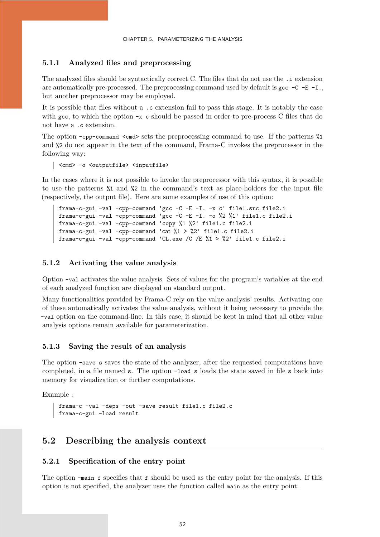## **5.1.1 Analyzed files and preprocessing**

The analyzed files should be syntactically correct C. The files that do not use the .i extension are automatically pre-processed. The preprocessing command used by default is gcc  $-C$   $-E$   $-I$ . but another preprocessor may be employed.

It is possible that files without a .c extension fail to pass this stage. It is notably the case with gcc, to which the option  $-x$  c should be passed in order to pre-process C files that do not have a .c extension.

The option -cpp-command  $\langle$ cmd> sets the preprocessing command to use. If the patterns  $\chi$ 1 and %2 do not appear in the text of the command, Frama-C invokes the preprocessor in the following way:

```
<cmd> -o <outputfile> <inputfile>
```
In the cases where it is not possible to invoke the preprocessor with this syntax, it is possible to use the patterns %1 and %2 in the command's text as place-holders for the input file (respectively, the output file). Here are some examples of use of this option:

```
frama-c-gui -val -cpp-command 'gcc -C -E -I. -x c' file1.src file2.i
frama-c-gui -val -cpp-command 'gcc -C -E -I. -o %2 %1' file1.c file2.i
frama-c-gui -val -cpp-command 'copy %1 %2' file1.c file2.i
frama-c-gui -val -cpp-command 'cat %1 > %2' file1.c file2.i
frama-c-gui -val -cpp-command 'CL.exe /C /E %1 > %2' file1.c file2.i
```
#### **5.1.2 Activating the value analysis**

Option -val activates the value analysis. Sets of values for the program's variables at the end of each analyzed function are displayed on standard output.

Many functionalities provided by Frama-C rely on the value analysis' results. Activating one of these automatically activates the value analysis, without it being necessary to provide the -val option on the command-line. In this case, it should be kept in mind that all other value analysis options remain available for parameterization.

## **5.1.3 Saving the result of an analysis**

The option -save s saves the state of the analyzer, after the requested computations have completed, in a file named s. The option -load s loads the state saved in file s back into memory for visualization or further computations.

Example :

```
frama-c -val -deps -out -save result file1.c file2.c
frama-c-gui -load result
```
# <span id="page-51-1"></span>**5.2 Describing the analysis context**

#### <span id="page-51-0"></span>**5.2.1 Specification of the entry point**

The option -main f specifies that f should be used as the entry point for the analysis. If this option is not specified, the analyzer uses the function called main as the entry point.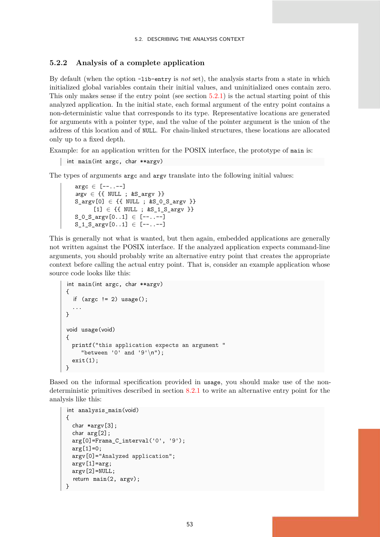## **5.2.2 Analysis of a complete application**

By default (when the option -lib-entry is *not* set), the analysis starts from a state in which initialized global variables contain their initial values, and uninitialized ones contain zero. This only makes sense if the entry point (see section [5.2.1\)](#page-51-0) is the actual starting point of this analyzed application. In the initial state, each formal argument of the entry point contains a non-deterministic value that corresponds to its type. Representative locations are generated for arguments with a pointer type, and the value of the pointer argument is the union of the address of this location and of NULL. For chain-linked structures, these locations are allocated only up to a fixed depth.

Example: for an application written for the POSIX interface, the prototype of main is:

```
int main(int argc, char **argv)
```
The types of arguments argc and argv translate into the following initial values:

```
\arg c \in [--, -]argv \in \{\{\text{ NULL}; \&\text{S} \text{ array }\}\}\S_{\text{array}}[0] \in \{\{\text{ NULL}; \& S_{\text{0}}\}_{\text{0}}\}[1] \in \{\{\text{ NULL}; \&\text{S}_1\_S\_\text{argv}\}\}\S_0_S_ary[0..1] \in [--.--]S_1_S_{argv[0..1] \in [--.--]}
```
This is generally not what is wanted, but then again, embedded applications are generally not written against the POSIX interface. If the analyzed application expects command-line arguments, you should probably write an alternative entry point that creates the appropriate context before calling the actual entry point. That is, consider an example application whose source code looks like this:

```
int main(int argc, char **argv)
{
  if (\arg c := 2) usage();...
}
void usage(void)
{
  printf("this application expects an argument "
     "between '0' and '9'\n\ln");
  exit(1);}
```
Based on the informal specification provided in usage, you should make use of the nondeterministic primitives described in section [8.2.1](#page-75-0) to write an alternative entry point for the analysis like this:

```
int analysis_main(void)
{
  char *argv[3];
  char arg[2];
  arg[0]=Frama_C_interval('0', '9');
  arg[1]=0;
  argv[0]="Analyzed application";
  argv[1]=arg;
  argv[2]=NULL;
  return main(2, argv);
}
```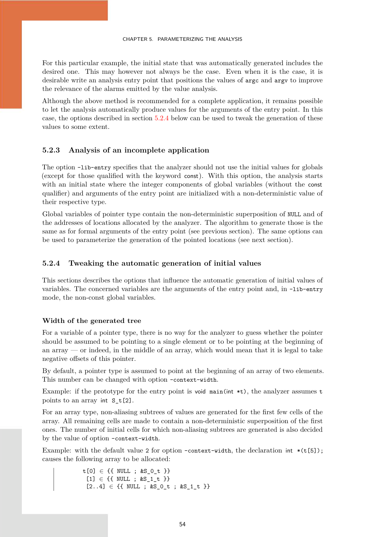For this particular example, the initial state that was automatically generated includes the desired one. This may however not always be the case. Even when it is the case, it is desirable write an analysis entry point that positions the values of argc and argv to improve the relevance of the alarms emitted by the value analysis.

Although the above method is recommended for a complete application, it remains possible to let the analysis automatically produce values for the arguments of the entry point. In this case, the options described in section [5.2.4](#page-53-1) below can be used to tweak the generation of these values to some extent.

## <span id="page-53-0"></span>**5.2.3 Analysis of an incomplete application**

The option -lib-entry specifies that the analyzer should not use the initial values for globals (except for those qualified with the keyword const). With this option, the analysis starts with an initial state where the integer components of global variables (without the const qualifier) and arguments of the entry point are initialized with a non-deterministic value of their respective type.

Global variables of pointer type contain the non-deterministic superposition of NULL and of the addresses of locations allocated by the analyzer. The algorithm to generate those is the same as for formal arguments of the entry point (see previous section). The same options can be used to parameterize the generation of the pointed locations (see next section).

#### <span id="page-53-1"></span>**5.2.4 Tweaking the automatic generation of initial values**

This sections describes the options that influence the automatic generation of initial values of variables. The concerned variables are the arguments of the entry point and, in -lib-entry mode, the non-const global variables.

#### **Width of the generated tree**

For a variable of a pointer type, there is no way for the analyzer to guess whether the pointer should be assumed to be pointing to a single element or to be pointing at the beginning of an array — or indeed, in the middle of an array, which would mean that it is legal to take negative offsets of this pointer.

By default, a pointer type is assumed to point at the beginning of an array of two elements. This number can be changed with option -context-width.

Example: if the prototype for the entry point is void main(int  $*$ t), the analyzer assumes t points to an array int S\_t[2].

For an array type, non-aliasing subtrees of values are generated for the first few cells of the array. All remaining cells are made to contain a non-deterministic superposition of the first ones. The number of initial cells for which non-aliasing subtrees are generated is also decided by the value of option -context-width.

Example: with the default value 2 for option -context-width, the declaration int  $*(t[5])$ ; causes the following array to be allocated:

> $t[0] \in \{ \{ \text{ NULL} \; ; \; \&\text{S}_0_t \} \}$  $[1] \in \{\{\text{ NULL}; \&\text{S}_1_t\} \}$  $[2..4] \in \{\{\text{ NULL}; \&\text{S}\_0\_t; \&\text{S}\_1\_t\} \}$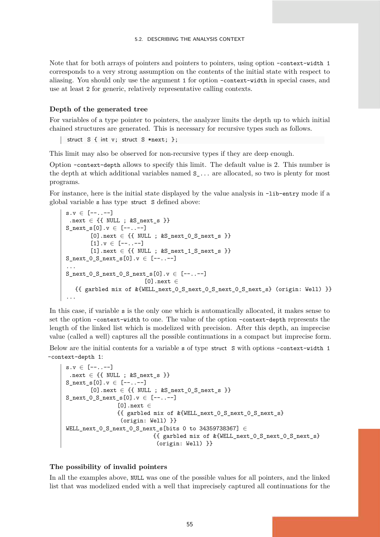Note that for both arrays of pointers and pointers to pointers, using option -context-width 1 corresponds to a very strong assumption on the contents of the initial state with respect to aliasing. You should only use the argument 1 for option -context-width in special cases, and use at least 2 for generic, relatively representative calling contexts.

#### **Depth of the generated tree**

For variables of a type pointer to pointers, the analyzer limits the depth up to which initial chained structures are generated. This is necessary for recursive types such as follows.

```
struct S { int v; struct S *next; };
```
This limit may also be observed for non-recursive types if they are deep enough.

Option -context-depth allows to specify this limit. The default value is 2. This number is the depth at which additional variables named S\_... are allocated, so two is plenty for most programs.

For instance, here is the initial state displayed by the value analysis in -lib-entry mode if a global variable s has type struct S defined above:

```
s.v \in [--, -].next \in {{ NULL ; &S next s }}
S_{next_s}[0].v \in [--.,-][0].next \in {{ NULL ; &S_next_0_S_next_s }}
         [1].v \in [--.,-][1].next \in \{\{\text{ NULL}; \&\text{S} \text{next}_1 \text{S} \text{next}_s \}\}\S_{next_0_S}_next_0 = S_{next_s[0]}.v \in [--.,-]...
S_{next_0\_S\_next_0\_S\_next_s[0].v \in [--.,--][0].next ∈
   {{ garbled mix of &{WELL_next_0_S_next_0_S_next_0_S_next_s} (origin: Well) }}
...
```
In this case, if variable s is the only one which is automatically allocated, it makes sense to set the option -context-width to one. The value of the option -context-depth represents the length of the linked list which is modelized with precision. After this depth, an imprecise value (called a well) captures all the possible continuations in a compact but imprecise form.

Below are the initial contents for a variable s of type struct S with options -context-width 1 -context-depth 1:

```
s.v \in [--, -].next \in {{ NULL ; &S next s }}
S_{next_s}[0].v \in [--.,-][0].next \in \{ NULL ; &S_next_0_S_next_s }}
S_{next_0_S_{next_s}[0]} \, s \, = \, [0] \, . \, v \, \in \, [- -, - -][0].next ∈
                 {{ garbled mix of &{WELL_next_0_S_next_0_S_next_s}
                  (origin: Well) }}
WELL_next_0_S_next_0_S_next_s[bits 0 to 34359738367] ∈
                              {{ garbled mix of &{WELL_next_0_S_next_0_S_next_s}
                               (origin: Well) }}
```
#### **The possibility of invalid pointers**

In all the examples above, NULL was one of the possible values for all pointers, and the linked list that was modelized ended with a well that imprecisely captured all continuations for the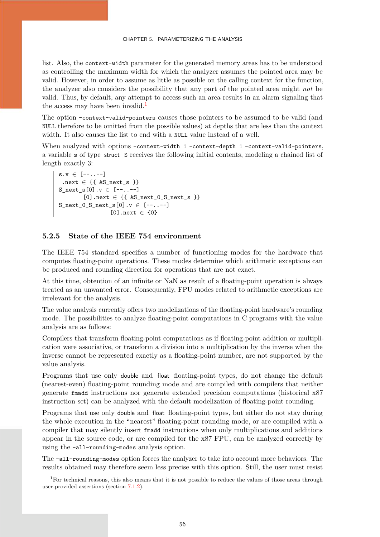#### CHAPTER 5. PARAMETERIZING THE ANALYSIS

list. Also, the context-width parameter for the generated memory areas has to be understood as controlling the maximum width for which the analyzer assumes the pointed area may be valid. However, in order to assume as little as possible on the calling context for the function, the analyzer also considers the possibility that any part of the pointed area might *not* be valid. Thus, by default, any attempt to access such an area results in an alarm signaling that the access may have been invalid.<sup>[1](#page-55-0)</sup>

The option -context-valid-pointers causes those pointers to be assumed to be valid (and NULL therefore to be omitted from the possible values) at depths that are less than the context width. It also causes the list to end with a NULL value instead of a well.

When analyzed with options -context-width 1 -context-depth 1 -context-valid-pointers, a variable s of type struct S receives the following initial contents, modeling a chained list of length exactly 3:

```
s.v \in [--.,-].next \in {{ &S_next_s }}
S_{next_s}[0].v \in [--.--][0].next \in \{ \&S\_next_0_S\_next_s \}S_{next_0\_S\_next_s[0].v \in [--.--]}[0].next \in \{0\}
```
## **5.2.5 State of the IEEE 754 environment**

The IEEE 754 standard specifies a number of functioning modes for the hardware that computes floating-point operations. These modes determine which arithmetic exceptions can be produced and rounding direction for operations that are not exact.

At this time, obtention of an infinite or NaN as result of a floating-point operation is always treated as an unwanted error. Consequently, FPU modes related to arithmetic exceptions are irrelevant for the analysis.

The value analysis currently offers two modelizations of the floating-point hardware's rounding mode. The possibilities to analyze floating-point computations in C programs with the value analysis are as follows:

Compilers that transform floating-point computations as if floating-point addition or multiplication were associative, or transform a division into a multiplication by the inverse when the inverse cannot be represented exactly as a floating-point number, are not supported by the value analysis.

Programs that use only double and float floating-point types, do not change the default (nearest-even) floating-point rounding mode and are compiled with compilers that neither generate fmadd instructions nor generate extended precision computations (historical x87 instruction set) can be analyzed with the default modelization of floating-point rounding.

Programs that use only double and float floating-point types, but either do not stay during the whole execution in the "nearest" floating-point rounding mode, or are compiled with a compiler that may silently insert fmadd instructions when only multiplications and additions appear in the source code, or are compiled for the x87 FPU, can be analyzed correctly by using the -all-rounding-modes analysis option.

The -all-rounding-modes option forces the analyzer to take into account more behaviors. The results obtained may therefore seem less precise with this option. Still, the user must resist

<span id="page-55-0"></span><sup>&</sup>lt;sup>1</sup>For technical reasons, this also means that it is not possible to reduce the values of those areas through user-provided assertions (section [7.1.2\)](#page-69-0).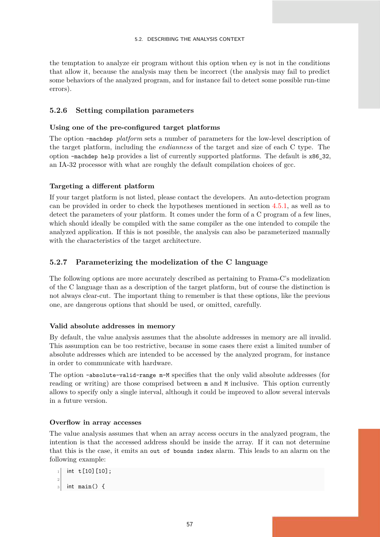the temptation to analyze eir program without this option when ey is not in the conditions that allow it, because the analysis may then be incorrect (the analysis may fail to predict some behaviors of the analyzed program, and for instance fail to detect some possible run-time errors).

## <span id="page-56-0"></span>**5.2.6 Setting compilation parameters**

## **Using one of the pre-configured target platforms**

The option -machdep *platform* sets a number of parameters for the low-level description of the target platform, including the *endianness* of the target and size of each C type. The option -machdep help provides a list of currently supported platforms. The default is x86\_32, an IA-32 processor with what are roughly the default compilation choices of gcc.

## **Targeting a different platform**

If your target platform is not listed, please contact the developers. An auto-detection program can be provided in order to check the hypotheses mentioned in section [4.5.1,](#page-45-0) as well as to detect the parameters of your platform. It comes under the form of a C program of a few lines, which should ideally be compiled with the same compiler as the one intended to compile the analyzed application. If this is not possible, the analysis can also be parameterized manually with the characteristics of the target architecture.

## **5.2.7 Parameterizing the modelization of the C language**

The following options are more accurately described as pertaining to Frama-C's modelization of the C language than as a description of the target platform, but of course the distinction is not always clear-cut. The important thing to remember is that these options, like the previous one, are dangerous options that should be used, or omitted, carefully.

#### **Valid absolute addresses in memory**

By default, the value analysis assumes that the absolute addresses in memory are all invalid. This assumption can be too restrictive, because in some cases there exist a limited number of absolute addresses which are intended to be accessed by the analyzed program, for instance in order to communicate with hardware.

The option -absolute-valid-range m-M specifies that the only valid absolute addresses (for reading or writing) are those comprised between m and M inclusive. This option currently allows to specify only a single interval, although it could be improved to allow several intervals in a future version.

#### **Overflow in array accesses**

The value analysis assumes that when an array access occurs in the analyzed program, the intention is that the accessed address should be inside the array. If it can not determine that this is the case, it emits an out of bounds index alarm. This leads to an alarm on the following example:

```
1 int t[10][10];
2
_3 int main() {
```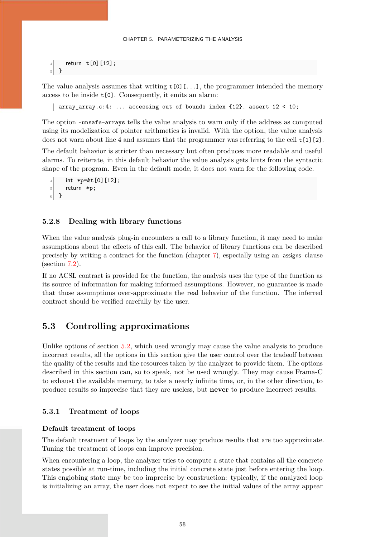```
\frac{4}{4} return t[0][12];
5 }
```
The value analysis assumes that writing  $\mathsf{t}[0]$ [...], the programmer intended the memory access to be inside t[0]. Consequently, it emits an alarm:

array\_array.c:4: ... accessing out of bounds index  $\{12\}$ . assert  $12 < 10$ ;

The option -unsafe-arrays tells the value analysis to warn only if the address as computed using its modelization of pointer arithmetics is invalid. With the option, the value analysis does not warn about line 4 and assumes that the programmer was referring to the cell  $t[1][2]$ .

The default behavior is stricter than necessary but often produces more readable and useful alarms. To reiterate, in this default behavior the value analysis gets hints from the syntactic shape of the program. Even in the default mode, it does not warn for the following code.

```
int *p=& t[0][12];return *p;
6 }
```
## **5.2.8 Dealing with library functions**

When the value analysis plug-in encounters a call to a library function, it may need to make assumptions about the effects of this call. The behavior of library functions can be described precisely by writing a contract for the function (chapter [7\)](#page-68-0), especially using an assigns clause (section [7.2\)](#page-71-0).

If no ACSL contract is provided for the function, the analysis uses the type of the function as its source of information for making informed assumptions. However, no guarantee is made that those assumptions over-approximate the real behavior of the function. The inferred contract should be verified carefully by the user.

# **5.3 Controlling approximations**

Unlike options of section [5.2,](#page-51-1) which used wrongly may cause the value analysis to produce incorrect results, all the options in this section give the user control over the tradeoff between the quality of the results and the resources taken by the analyzer to provide them. The options described in this section can, so to speak, not be used wrongly. They may cause Frama-C to exhaust the available memory, to take a nearly infinite time, or, in the other direction, to produce results so imprecise that they are useless, but **never** to produce incorrect results.

## <span id="page-57-0"></span>**5.3.1 Treatment of loops**

#### **Default treatment of loops**

The default treatment of loops by the analyzer may produce results that are too approximate. Tuning the treatment of loops can improve precision.

When encountering a loop, the analyzer tries to compute a state that contains all the concrete states possible at run-time, including the initial concrete state just before entering the loop. This englobing state may be too imprecise by construction: typically, if the analyzed loop is initializing an array, the user does not expect to see the initial values of the array appear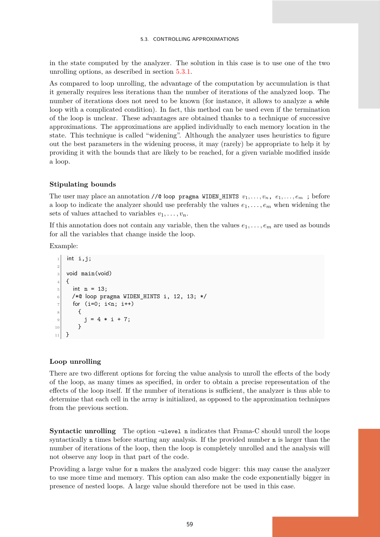#### 5.3. CONTROLLING APPROXIMATIONS

in the state computed by the analyzer. The solution in this case is to use one of the two unrolling options, as described in section [5.3.1.](#page-58-0)

As compared to loop unrolling, the advantage of the computation by accumulation is that it generally requires less iterations than the number of iterations of the analyzed loop. The number of iterations does not need to be known (for instance, it allows to analyze a while loop with a complicated condition). In fact, this method can be used even if the termination of the loop is unclear. These advantages are obtained thanks to a technique of successive approximations. The approximations are applied individually to each memory location in the state. This technique is called "widening". Although the analyzer uses heuristics to figure out the best parameters in the widening process, it may (rarely) be appropriate to help it by providing it with the bounds that are likely to be reached, for a given variable modified inside a loop.

## **Stipulating bounds**

The user may place an annotation //@ loop pragma WIDEN\_HINTS  $v_1, \ldots, v_n$ ,  $e_1, \ldots, e_m$ ; before a loop to indicate the analyzer should use preferably the values  $e_1, \ldots, e_m$  when widening the sets of values attached to variables  $v_1, \ldots, v_n$ .

If this annotation does not contain any variable, then the values  $e_1, \ldots, e_m$  are used as bounds for all the variables that change inside the loop.

Example:

```
1 int i,j;
2
3 void main(void)
4 {
5 int n = 13;
\frac{1}{6} /*@ loop pragma WIDEN_HINTS i, 12, 13; */
|7| for (i=0; i<n; i++)
\vert 8 {
9 j = 4 * i + 7;_{10} }
_{11} }
```
## <span id="page-58-0"></span>**Loop unrolling**

There are two different options for forcing the value analysis to unroll the effects of the body of the loop, as many times as specified, in order to obtain a precise representation of the effects of the loop itself. If the number of iterations is sufficient, the analyzer is thus able to determine that each cell in the array is initialized, as opposed to the approximation techniques from the previous section.

**Syntactic unrolling** The option -ulevel n indicates that Frama-C should unroll the loops syntactically n times before starting any analysis. If the provided number n is larger than the number of iterations of the loop, then the loop is completely unrolled and the analysis will not observe any loop in that part of the code.

Providing a large value for n makes the analyzed code bigger: this may cause the analyzer to use more time and memory. This option can also make the code exponentially bigger in presence of nested loops. A large value should therefore not be used in this case.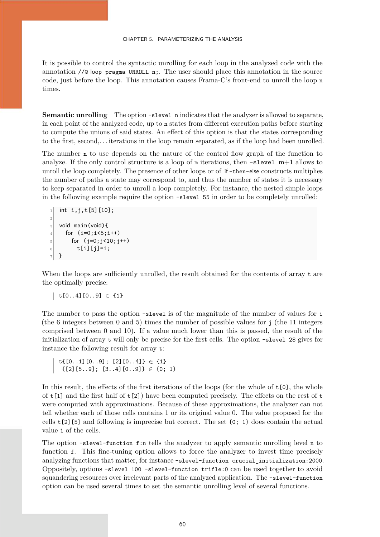It is possible to control the syntactic unrolling for each loop in the analyzed code with the annotation  $\ell/\mathcal{Q}$  loop pragma UNROLL n;. The user should place this annotation in the source code, just before the loop. This annotation causes Frama-C's front-end to unroll the loop n times.

**Semantic unrolling** The option -slevel n indicates that the analyzer is allowed to separate, in each point of the analyzed code, up to n states from different execution paths before starting to compute the unions of said states. An effect of this option is that the states corresponding to the first, second,. . . iterations in the loop remain separated, as if the loop had been unrolled.

The number n to use depends on the nature of the control flow graph of the function to analyze. If the only control structure is a loop of  $m$  iterations, then  $-slevel$   $m+1$  allows to unroll the loop completely. The presence of other loops or of if -then-else constructs multiplies the number of paths a state may correspond to, and thus the number of states it is necessary to keep separated in order to unroll a loop completely. For instance, the nested simple loops in the following example require the option -slevel 55 in order to be completely unrolled:

```
int i,j,t[5][10];2
3 void main(void){
4 for (i=0; i<5; i++)5 for (j=0; j<10; j++)6 t[i][j]=1;
7 \vert }
```
When the loops are sufficiently unrolled, the result obtained for the contents of array t are the optimally precise:

 $|$  t[0..4][0..9]  $\in$  {1}

The number to pass the option -slevel is of the magnitude of the number of values for i (the 6 integers between 0 and 5) times the number of possible values for j (the 11 integers comprised between 0 and 10). If a value much lower than this is passed, the result of the initialization of array t will only be precise for the first cells. The option -slevel 28 gives for instance the following result for array t:

```
tf[0..1][0..9]; [2][0..4]} \in \{1\}\{[2][5..9]; [3..4][0..9]\} \in \{0; 1\}
```
In this result, the effects of the first iterations of the loops (for the whole of  $t[0]$ , the whole of  $t[1]$  and the first half of  $t[2]$ ) have been computed precisely. The effects on the rest of  $t$ were computed with approximations. Because of these approximations, the analyzer can not tell whether each of those cells contains 1 or its original value 0. The value proposed for the cells t[2][5] and following is imprecise but correct. The set {0; 1} does contain the actual value 1 of the cells.

The option -slevel-function f:n tells the analyzer to apply semantic unrolling level n to function f. This fine-tuning option allows to force the analyzer to invest time precisely analyzing functions that matter, for instance -slevel-function crucial\_initialization:2000. Oppositely, options -slevel 100 -slevel-function trifle:0 can be used together to avoid squandering resources over irrelevant parts of the analyzed application. The -slevel-function option can be used several times to set the semantic unrolling level of several functions.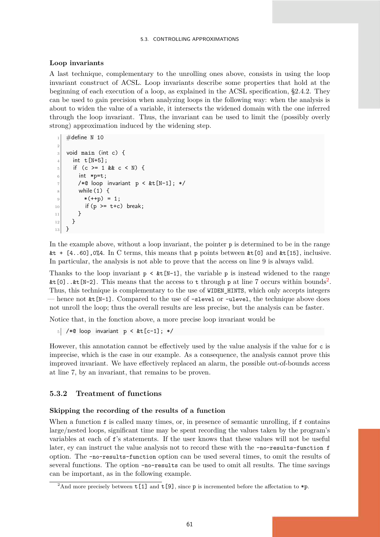#### 5.3. CONTROLLING APPROXIMATIONS

## **Loop invariants**

A last technique, complementary to the unrolling ones above, consists in using the loop invariant construct of ACSL. Loop invariants describe some properties that hold at the beginning of each execution of a loop, as explained in the ACSL specification, §2.4.2. They can be used to gain precision when analyzing loops in the following way: when the analysis is about to widen the value of a variable, it intersects the widened domain with the one inferred through the loop invariant. Thus, the invariant can be used to limit the (possibly overly strong) approximation induced by the widening step.

```
1 #define N 10
2
3 void main (int c) {
4 int t[N+5];
5 if (c >= 1 && c < N) {
6 int *p=t;
|7| /*@ loop invariant p \lt kt [N-1]; */
|8| while (1) {
9 \mid *(++p) = 1;
_{10} if (p >= t+c) break;
\vert }
_{12} }
_{13} }
```
In the example above, without a loop invariant, the pointer  $p$  is determined to be in the range &t +  $[4..60]$ , 0%4. In C terms, this means that p points between &t $[0]$  and  $k[t]$  [15], inclusive. In particular, the analysis is not able to prove that the access on line 9 is always valid.

Thanks to the loop invariant  $p \lt k$ t[N-1], the variable p is instead widened to the range &t[0]..&t[N-[2](#page-60-1)]. This means that the access to t through p at line 7 occurs within bounds<sup>2</sup>. Thus, this technique is complementary to the use of WIDEN\_HINTS, which only accepts integers — hence not  $\text{wt}[N-1]$ . Compared to the use of -slevel or -ulevel, the technique above does not unroll the loop; thus the overall results are less precise, but the analysis can be faster.

Notice that, in the fonction above, a more precise loop invariant would be

```
5 /*@ loop invariant p \leq \&t [c-1]; */
```
However, this annotation cannot be effectively used by the value analysis if the value for c is imprecise, which is the case in our example. As a consequence, the analysis cannot prove this improved invariant. We have effectively replaced an alarm, the possible out-of-bounds access at line 7, by an invariant, that remains to be proven.

## <span id="page-60-0"></span>**5.3.2 Treatment of functions**

#### **Skipping the recording of the results of a function**

When a function f is called many times, or, in presence of semantic unrolling, if f contains large/nested loops, significant time may be spent recording the values taken by the program's variables at each of f's statements. If the user knows that these values will not be useful later, ey can instruct the value analysis not to record these with the -no-results-function f option. The -no-results-function option can be used several times, to omit the results of several functions. The option -no-results can be used to omit all results. The time savings can be important, as in the following example.

<span id="page-60-1"></span><sup>&</sup>lt;sup>2</sup>And more precisely between  $t[1]$  and  $t[9]$ , since p is incremented before the affectation to \*p.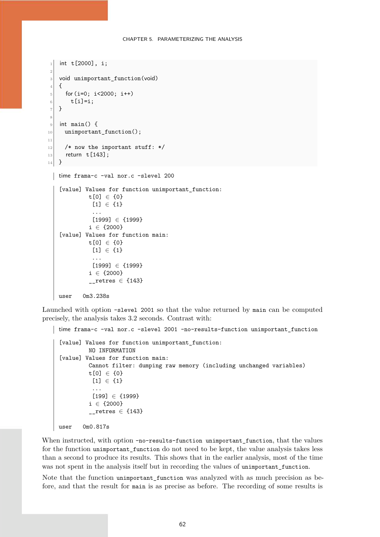#### CHAPTER 5. PARAMETERIZING THE ANALYSIS

```
1 int t[2000], i;
2
3 void unimportant_function(void)
4 {
5 for (i=0; i<2000; i++)
6 t[i]=i;
7 \vert }
8
9 int main() {
10 unimportant_function();
11
|12| /* now the important stuff: */
_{13} return t[143];
_{14} }
   time frama-c -val nor.c -slevel 200
   [value] Values for function unimportant_function:
             t[0] \in \{0\}[1] \in \{1\}...
              [1999] ∈ {1999}
             i ∈ {2000}
   [value] Values for function main:
            t[0] \in \{0\}[1] \in \{1\}...
              [1999] ∈ {1999}
             i ∈ {2000}
             _{-}retres \in {143}
   user 0m3.238s
```
Launched with option -slevel 2001 so that the value returned by main can be computed precisely, the analysis takes 3.2 seconds. Contrast with:

```
time frama-c -val nor.c -slevel 2001 -no-results-function unimportant_function
[value] Values for function unimportant_function:
         NO INFORMATION
[value] Values for function main:
         Cannot filter: dumping raw memory (including unchanged variables)
         t[0] \in \{0\}[1] \in \{1\}...
          [199] ∈ {1999}
         i ∈ {2000}
         retres \in {143}
user 0m0.817s
```
When instructed, with option -no-results-function unimportant\_function, that the values for the function unimportant\_function do not need to be kept, the value analysis takes less than a second to produce its results. This shows that in the earlier analysis, most of the time was not spent in the analysis itself but in recording the values of unimportant\_function.

Note that the function unimportant\_function was analyzed with as much precision as before, and that the result for main is as precise as before. The recording of some results is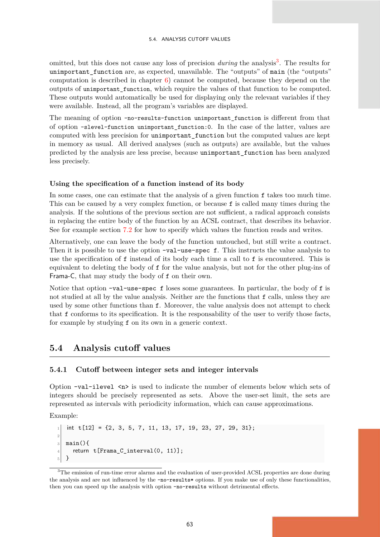omitted, but this does not cause any loss of precision *during* the analysis<sup>[3](#page-62-0)</sup>. The results for unimportant function are, as expected, unavailable. The "outputs" of main (the "outputs" computation is described in chapter  $6$ ) cannot be computed, because they depend on the outputs of unimportant\_function, which require the values of that function to be computed. These outputs would automatically be used for displaying only the relevant variables if they were available. Instead, all the program's variables are displayed.

The meaning of option -no-results-function unimportant\_function is different from that of option -slevel-function unimportant\_function:0. In the case of the latter, values are computed with less precision for unimportant\_function but the computed values are kept in memory as usual. All derived analyses (such as outputs) are available, but the values predicted by the analysis are less precise, because unimportant\_function has been analyzed less precisely.

## **Using the specification of a function instead of its body**

In some cases, one can estimate that the analysis of a given function f takes too much time. This can be caused by a very complex function, or because f is called many times during the analysis. If the solutions of the previous section are not sufficient, a radical approach consists in replacing the entire body of the function by an ACSL contract, that describes its behavior. See for example section [7.2](#page-71-0) for how to specify which values the function reads and writes.

Alternatively, one can leave the body of the function untouched, but still write a contract. Then it is possible to use the option  $-\text{val}$ -use-spec f. This instructs the value analysis to use the specification of f instead of its body each time a call to f is encountered. This is equivalent to deleting the body of f for the value analysis, but not for the other plug-ins of Frama-C, that may study the body of f on their own.

Notice that option -val-use-spec f loses some guarantees. In particular, the body of f is not studied at all by the value analysis. Neither are the functions that f calls, unless they are used by some other functions than f. Moreover, the value analysis does not attempt to check that f conforms to its specification. It is the responsability of the user to verify those facts, for example by studying f on its own in a generic context.

# **5.4 Analysis cutoff values**

#### **5.4.1 Cutoff between integer sets and integer intervals**

Option  $-\text{val}-\text{ilevel} \leq \text{w}$  is used to indicate the number of elements below which sets of integers should be precisely represented as sets. Above the user-set limit, the sets are represented as intervals with periodicity information, which can cause approximations.

Example:

 $1$  int t[12] = {2, 3, 5, 7, 11, 13, 17, 19, 23, 27, 29, 31}; 2  $3 \mid \text{main}()$ 4 return t[Frama C interval(0, 11)]; <sup>5</sup> }

<span id="page-62-0"></span><sup>&</sup>lt;sup>3</sup>The emission of run-time error alarms and the evaluation of user-provided ACSL properties are done during the analysis and are not influenced by the -no-results\* options. If you make use of only these functionalities, then you can speed up the analysis with option -no-results without detrimental effects.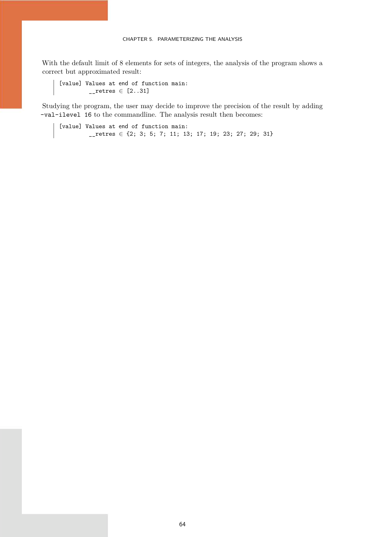With the default limit of 8 elements for sets of integers, the analysis of the program shows a correct but approximated result:

[value] Values at end of function main:  $_{--}$ retres  $\in$  [2..31]

Studying the program, the user may decide to improve the precision of the result by adding -val-ilevel 16 to the commandline. The analysis result then becomes:

[value] Values at end of function main: \_\_retres ∈ {2; 3; 5; 7; 11; 13; 17; 19; 23; 27; 29; 31}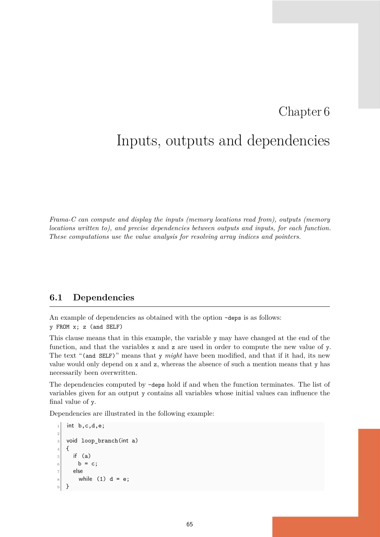# <span id="page-64-0"></span>Chapter 6 Inputs, outputs and dependencies

*Frama-C can compute and display the inputs (memory locations read from), outputs (memory locations written to), and precise dependencies between outputs and inputs, for each function. These computations use the value analysis for resolving array indices and pointers.*

# **6.1 Dependencies**

An example of dependencies as obtained with the option -deps is as follows: y FROM x; z (and SELF)

This clause means that in this example, the variable y may have changed at the end of the function, and that the variables x and z are used in order to compute the new value of y. The text "(and SELF)" means that y *might* have been modified, and that if it had, its new value would only depend on x and z, whereas the absence of such a mention means that y has necessarily been overwritten.

The dependencies computed by -deps hold if and when the function terminates. The list of variables given for an output y contains all variables whose initial values can influence the final value of y.

Dependencies are illustrated in the following example:

```
1 int b, c, d, e;
2
3 void loop_branch(int a)
4 \mid 65 if (a)
\begin{bmatrix} 6 \end{bmatrix} b = c;
|7| else
|8| while (1) d = e;
9 }
```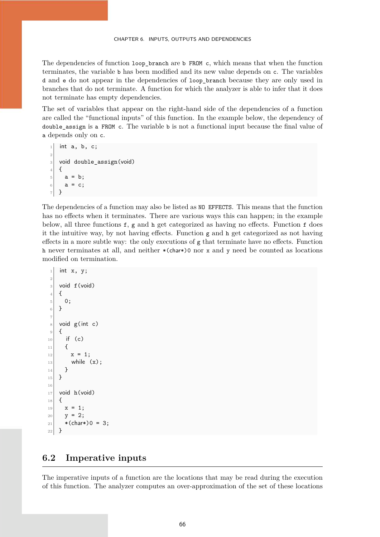#### CHAPTER 6. INPUTS, OUTPUTS AND DEPENDENCIES

The dependencies of function loop branch are b FROM c, which means that when the function terminates, the variable b has been modified and its new value depends on c. The variables d and e do not appear in the dependencies of loop\_branch because they are only used in branches that do not terminate. A function for which the analyzer is able to infer that it does not terminate has empty dependencies.

The set of variables that appear on the right-hand side of the dependencies of a function are called the "functional inputs" of this function. In the example below, the dependency of double\_assign is a FROM c. The variable b is not a functional input because the final value of a depends only on c.

```
1 int a, b, c;
\overline{2}3 void double_assign(void)
4 \mid \mathbf{f}5 a = b;
6 a = c;
7 }
```
The dependencies of a function may also be listed as NO EFFECTS. This means that the function has no effects when it terminates. There are various ways this can happen; in the example below, all three functions f, g and h get categorized as having no effects. Function f does it the intuitive way, by not having effects. Function g and h get categorized as not having effects in a more subtle way: the only executions of g that terminate have no effects. Function h never terminates at all, and neither \*(char\*)0 nor x and y need be counted as locations modified on termination.

```
1 int x, y;
2
3 void f(void)4 \mid \mathbf{f}5 0;
6 }
7
|8| void g(int c)
9 {
_{10} if (c)
_{11} {
x = 1;
_{13} while (x);
_{14} }
15 }
16
17 void h(void)
18 {
19 \mid x = 1;|_{20}| y = 2;
|_{21}| * (char*) 0 = 3;
22 \mid \}
```
# **6.2 Imperative inputs**

The imperative inputs of a function are the locations that may be read during the execution of this function. The analyzer computes an over-approximation of the set of these locations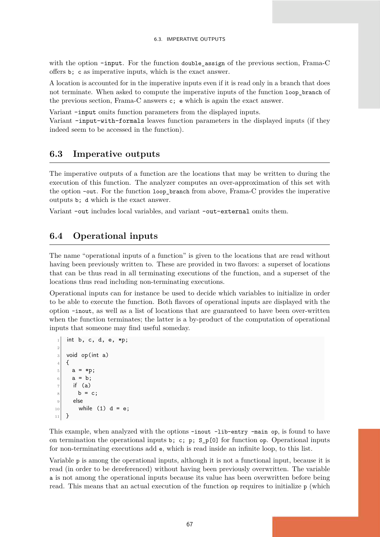with the option -input. For the function double assign of the previous section, Frama-C offers b; c as imperative inputs, which is the exact answer.

A location is accounted for in the imperative inputs even if it is read only in a branch that does not terminate. When asked to compute the imperative inputs of the function loop\_branch of the previous section, Frama-C answers c; e which is again the exact answer.

Variant -input omits function parameters from the displayed inputs.

Variant -input-with-formals leaves function parameters in the displayed inputs (if they indeed seem to be accessed in the function).

# **6.3 Imperative outputs**

The imperative outputs of a function are the locations that may be written to during the execution of this function. The analyzer computes an over-approximation of this set with the option -out. For the function loop\_branch from above, Frama-C provides the imperative outputs b; d which is the exact answer.

Variant -out includes local variables, and variant -out-external omits them.

# **6.4 Operational inputs**

The name "operational inputs of a function" is given to the locations that are read without having been previously written to. These are provided in two flavors: a superset of locations that can be thus read in all terminating executions of the function, and a superset of the locations thus read including non-terminating executions.

Operational inputs can for instance be used to decide which variables to initialize in order to be able to execute the function. Both flavors of operational inputs are displayed with the option -inout, as well as a list of locations that are guaranteed to have been over-written when the function terminates; the latter is a by-product of the computation of operational inputs that someone may find useful someday.

```
_1 int b, c, d, e, *p;
2
3 void op(int a)
4 \mid \mathbf{f}5| a = *p;
6 a = b;
|7| if (a)
|8| b = c;
9 else
_{10} while (1) d = e;
|11| }
```
This example, when analyzed with the options -inout -lib-entry -main op, is found to have on termination the operational inputs b; c; p;  $S_p[0]$  for function op. Operational inputs for non-terminating executions add e, which is read inside an infinite loop, to this list.

Variable p is among the operational inputs, although it is not a functional input, because it is read (in order to be dereferenced) without having been previously overwritten. The variable a is not among the operational inputs because its value has been overwritten before being read. This means that an actual execution of the function op requires to initialize p (which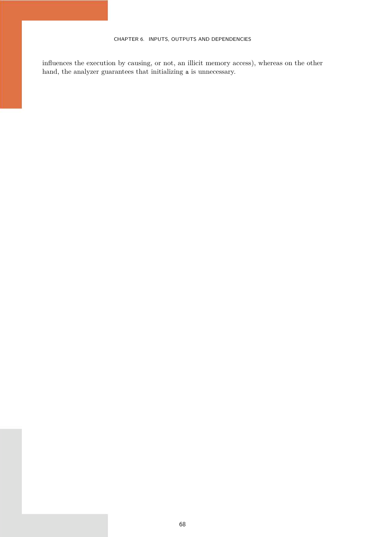## CHAPTER 6. INPUTS, OUTPUTS AND DEPENDENCIES

influences the execution by causing, or not, an illicit memory access), whereas on the other hand, the analyzer guarantees that initializing a is unnecessary.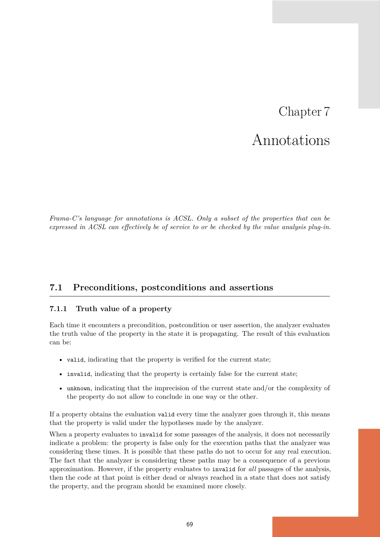# Chapter 7 Annotations

<span id="page-68-0"></span>*Frama-C's language for annotations is ACSL. Only a subset of the properties that can be expressed in ACSL can effectively be of service to or be checked by the value analysis plug-in.*

# <span id="page-68-1"></span>**7.1 Preconditions, postconditions and assertions**

## **7.1.1 Truth value of a property**

Each time it encounters a precondition, postcondition or user assertion, the analyzer evaluates the truth value of the property in the state it is propagating. The result of this evaluation can be:

- valid, indicating that the property is verified for the current state;
- invalid, indicating that the property is certainly false for the current state;
- unknown, indicating that the imprecision of the current state and/or the complexity of the property do not allow to conclude in one way or the other.

If a property obtains the evaluation valid every time the analyzer goes through it, this means that the property is valid under the hypotheses made by the analyzer.

When a property evaluates to invalid for some passages of the analysis, it does not necessarily indicate a problem: the property is false only for the execution paths that the analyzer was considering these times. It is possible that these paths do not to occur for any real execution. The fact that the analyzer is considering these paths may be a consequence of a previous approximation. However, if the property evaluates to invalid for *all* passages of the analysis, then the code at that point is either dead or always reached in a state that does not satisfy the property, and the program should be examined more closely.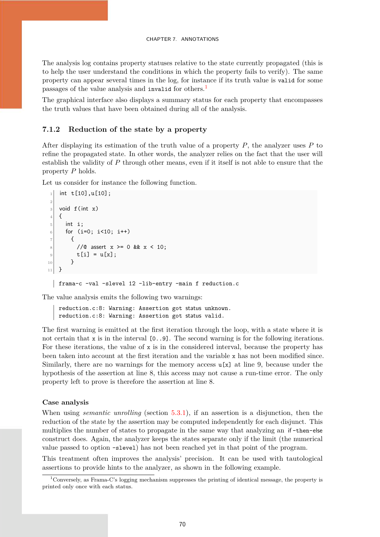The analysis log contains property statuses relative to the state currently propagated (this is to help the user understand the conditions in which the property fails to verify). The same property can appear several times in the log, for instance if its truth value is valid for some passages of the value analysis and invalid for others.<sup>[1](#page-69-1)</sup>

The graphical interface also displays a summary status for each property that encompasses the truth values that have been obtained during all of the analysis.

## <span id="page-69-0"></span>**7.1.2 Reduction of the state by a property**

After displaying its estimation of the truth value of a property *P*, the analyzer uses *P* to refine the propagated state. In other words, the analyzer relies on the fact that the user will establish the validity of *P* through other means, even if it itself is not able to ensure that the property *P* holds.

Let us consider for instance the following function.

```
1 int t[10], u[10];
2
3 void f(int x)4 \mid \mathbf{f}5 int i;
6 for (i=0; i<10; i++)
|7| {
8 //@ assert x > = 0 & x < 10;
9 t[i] = u[x];
_{10} }
11 \, }
  frama-c -val -slevel 12 -lib-entry -main f reduction.c
```
The value analysis emits the following two warnings:

reduction.c:8: Warning: Assertion got status unknown. reduction.c:8: Warning: Assertion got status valid.

The first warning is emitted at the first iteration through the loop, with a state where it is not certain that x is in the interval  $[0..9]$ . The second warning is for the following iterations. For these iterations, the value of  $x$  is in the considered interval, because the property has been taken into account at the first iteration and the variable x has not been modified since. Similarly, there are no warnings for the memory access  $\mathfrak{u}[x]$  at line 9, because under the hypothesis of the assertion at line 8, this access may not cause a run-time error. The only property left to prove is therefore the assertion at line 8.

#### **Case analysis**

When using *semantic unrolling* (section [5.3.1\)](#page-58-0), if an assertion is a disjunction, then the reduction of the state by the assertion may be computed independently for each disjunct. This multiplies the number of states to propagate in the same way that analyzing an if -then-else construct does. Again, the analyzer keeps the states separate only if the limit (the numerical value passed to option -slevel) has not been reached yet in that point of the program.

This treatment often improves the analysis' precision. It can be used with tautological assertions to provide hints to the analyzer, as shown in the following example.

<span id="page-69-1"></span><sup>&</sup>lt;sup>1</sup>Conversely, as Frama-C's logging mechanism suppresses the printing of identical message, the property is printed only once with each status.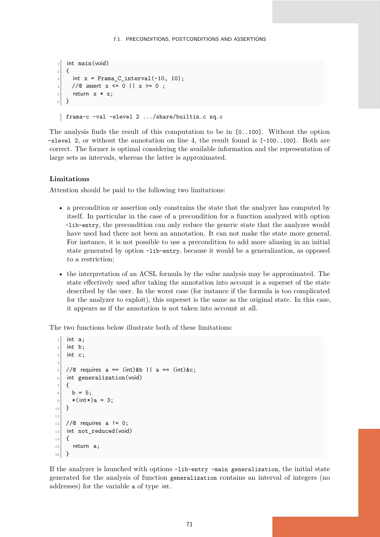```
1 int main(void)
2 {
3 int x = Frama_C_interval(-10, 10);
4 //@ assert x \le 0 || x \ge 0;
5 return x * x;6 }
```

```
frama-c -val -slevel 2 .../share/builtin.c sq.c
```
The analysis finds the result of this computation to be in [0..100]. Without the option -slevel 2, or without the annotation on line 4, the result found is [-100..100]. Both are correct. The former is optimal considering the available information and the representation of large sets as intervals, whereas the latter is approximated.

### **Limitations**

Attention should be paid to the following two limitations:

- a precondition or assertion only constrains the state that the analyzer has computed by itself. In particular in the case of a precondition for a function analyzed with option -lib-entry, the precondition can only reduce the generic state that the analyzer would have used had there not been an annotation. It can not make the state more general. For instance, it is not possible to use a precondition to add more aliasing in an initial state generated by option -lib-entry, because it would be a generalization, as opposed to a restriction;
- the interpretation of an ACSL formula by the value analysis may be approximated. The state effectively used after taking the annotation into account is a superset of the state described by the user. In the worst case (for instance if the formula is too complicated for the analyzer to exploit), this superset is the same as the original state. In this case, it appears as if the annotation is not taken into account at all.

The two functions below illustrate both of these limitations:

```
1 int a;
2 int b;
3 int c;
4
5 //0 requires a == (int)&b || a == (int)&c;
6 int generalization(void)
7 {
|8| b = 5;
|9| * (int*) a = 3;
10 }
11
12 //0 requires a != 0;
13 int not reduced(void)
14 {
15 return a;
16 }
```
If the analyzer is launched with options -lib-entry -main generalization, the initial state generated for the analysis of function generalization contains an interval of integers (no addresses) for the variable a of type int.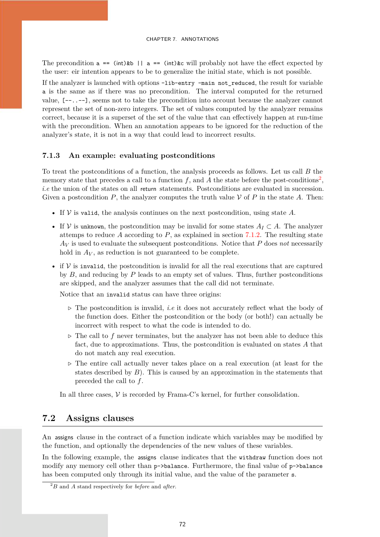The precondition  $a == (int) \& b \mid a == (int) \& c \leq w \leq b$  probably not have the effect expected by the user: eir intention appears to be to generalize the initial state, which is not possible.

If the analyzer is launched with options -lib-entry -main not\_reduced, the result for variable a is the same as if there was no precondition. The interval computed for the returned value, [--..--], seems not to take the precondition into account because the analyzer cannot represent the set of non-zero integers. The set of values computed by the analyzer remains correct, because it is a superset of the set of the value that can effectively happen at run-time with the precondition. When an annotation appears to be ignored for the reduction of the analyzer's state, it is not in a way that could lead to incorrect results.

## **7.1.3 An example: evaluating postconditions**

To treat the postconditions of a function, the analysis proceeds as follows. Let us call *B* the memory state that precedes a call to a function  $f$ , and  $A$  the state before the post-conditions<sup>[2](#page-71-1)</sup>, *i.e* the union of the states on all return statements. Postconditions are evaluated in succession. Given a postcondition  $P$ , the analyzer computes the truth value  $\mathcal V$  of  $P$  in the state  $A$ . Then:

- If V is valid, the analysis continues on the next postcondition, using state *A*.
- If V is unknown, the postcondition may be invalid for some states  $A_I \subset A$ . The analyzer attemps to reduce  $A$  according to  $P$ , as explained in section [7.1.2.](#page-69-0) The resulting state  $A_V$  is used to evaluate the subsequent postconditions. Notice that  $P$  does *not* necessarily hold in  $A_V$ , as reduction is not guaranteed to be complete.
- if  $V$  is invalid, the postcondition is invalid for all the real executions that are captured by *B*, and reducing by *P* leads to an empty set of values. Thus, further postconditions are skipped, and the analyzer assumes that the call did not terminate.

Notice that an invalid status can have three origins:

- $\triangleright$  The postcondition is invalid, *i.e* it does not accurately reflect what the body of the function does. Either the postcondition or the body (or both!) can actually be incorrect with respect to what the code is intended to do.
- $\triangleright$  The call to *f* never terminates, but the analyzer has not been able to deduce this fact, due to approximations. Thus, the postcondition is evaluated on states *A* that do not match any real execution.
- *.* The entire call actually never takes place on a real execution (at least for the states described by *B*). This is caused by an approximation in the statements that preceded the call to *f*.

In all three cases,  $\mathcal V$  is recorded by Frama-C's kernel, for further consolidation.

# <span id="page-71-0"></span>**7.2 Assigns clauses**

An assigns clause in the contract of a function indicate which variables may be modified by the function, and optionally the dependencies of the new values of these variables.

In the following example, the assigns clause indicates that the withdraw function does not modify any memory cell other than p->balance. Furthermore, the final value of p->balance has been computed only through its initial value, and the value of the parameter s.

<span id="page-71-1"></span><sup>2</sup>*B* and *A* stand respectively for *before* and *after*.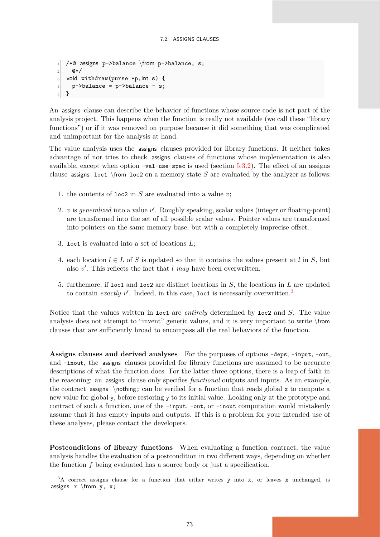```
_1 /*@ assigns p->balance \from p->balance, s;
2 \mathbb{Q} */
|3| void withdraw(purse *p, int s) {
4 p->balance = p->balance - s;
5 }
```
An assigns clause can describe the behavior of functions whose source code is not part of the analysis project. This happens when the function is really not available (we call these "library functions") or if it was removed on purpose because it did something that was complicated and unimportant for the analysis at hand.

The value analysis uses the assigns clauses provided for library functions. It neither takes advantage of nor tries to check assigns clauses of functions whose implementation is also available, except when option -val-use-spec is used (section [5.3.2\)](#page-61-0). The effect of an assigns clause assigns loc1 \from loc2 on a memory state *S* are evaluated by the analyzer as follows:

- 1. the contents of loc2 in *S* are evaluated into a value *v*;
- 2. *v* is *generalized* into a value *v'*. Roughly speaking, scalar values (integer or floating-point) are transformed into the set of all possible scalar values. Pointer values are transformed into pointers on the same memory base, but with a completely imprecise offset.
- 3. loc1 is evaluated into a set of locations *L*;
- 4. each location  $l \in L$  of *S* is updated so that it contains the values present at *l* in *S*, but also  $v'$ . This reflects the fact that  $l$  *may* have been overwritten.
- 5. furthemore, if loc1 and loc2 are distinct locations in *S*, the locations in *L* are updated to contain *exactly*  $v'$ . Indeed, in this case, loc1 is necessarily overwritten.<sup>[3](#page-72-0)</sup>

Notice that the values written in loc1 are *entirely* determined by loc2 and *S*. The value analysis does not attempt to "invent" generic values, and it is very important to write \from clauses that are sufficiently broad to encompass all the real behaviors of the function.

**Assigns clauses and derived analyses** For the purposes of options -deps, -input, -out, and -inout, the assigns clauses provided for library functions are assumed to be accurate descriptions of what the function does. For the latter three options, there is a leap of faith in the reasoning: an assigns clause only specifies *functional* outputs and inputs. As an example, the contract assigns  $\phi$ ; can be verified for a function that reads global x to compute a new value for global y, before restoring y to its initial value. Looking only at the prototype and contract of such a function, one of the -input, -out, or -inout computation would mistakenly assume that it has empty inputs and outputs. If this is a problem for your intended use of these analyses, please contact the developers.

**Postconditions of library functions** When evaluating a function contract, the value analysis handles the evaluation of a postcondition in two different ways, depending on whether the function *f* being evaluated has a source body or just a specification.

<span id="page-72-0"></span><sup>&</sup>lt;sup>3</sup>A correct assigns clause for a function that either writes y into x, or leaves x unchanged, is assigns  $x \times y$ ,  $x$ ;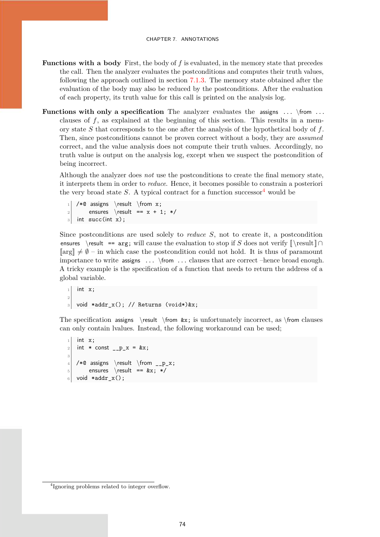- **Functions with a body** First, the body of *f* is evaluated, in the memory state that precedes the call. Then the analyzer evaluates the postconditions and computes their truth values, following the approach outlined in section [7.1.3.](#page-71-0) The memory state obtained after the evaluation of the body may also be reduced by the postconditions. After the evaluation of each property, its truth value for this call is printed on the analysis log.
- **Functions with only a specification** The analyzer evaluates the assigns ... \from ... clauses of  $f$ , as explained at the beginning of this section. This results in a memory state *S* that corresponds to the one after the analysis of the hypothetical body of *f*. Then, since postconditions cannot be proven correct without a body, they are *assumed* correct, and the value analysis does not compute their truth values. Accordingly, no truth value is output on the analysis log, except when we suspect the postcondition of being incorrect.

Although the analyzer does *not* use the postconditions to create the final memory state, it interprets them in order to *reduce*. Hence, it becomes possible to constrain a posteriori the very broad state *S*. A typical contract for a function successor<sup>[4](#page-73-0)</sup> would be

 $_1$  /\*@ assigns \result \from x; 2 ensures \result ==  $x + 1$ ; \*/  $3$  int succ(int x);

Since postconditions are used solely to *reduce S*, not to create it, a postcondition ensures \result == arg; will cause the evaluation to stop if *S* does not verify  $\gamma \text{result}$  $\llbracket \arg \rrbracket \neq \emptyset$  – in which case the postcondition could not hold. It is thus of paramount importance to write assigns ... \from ... clauses that are correct –hence broad enough. A tricky example is the specification of a function that needs to return the address of a global variable.

 $1$  int x; 2  $|3|$  void \*addr\_x(); // Returns (void\*)&x;

The specification assigns \result \from  $\&x$ ; is unfortunately incorrect, as \from clauses can only contain lvalues. Instead, the following workaround can be used;

```
1 int x:
2 int * const p_x = kx;
3
_4 /*@ assigns \result \from _p_x;
|5| ensures \result == &x; */
6 void *addr_x();
```
<span id="page-73-0"></span><sup>4</sup> Ignoring problems related to integer overflow.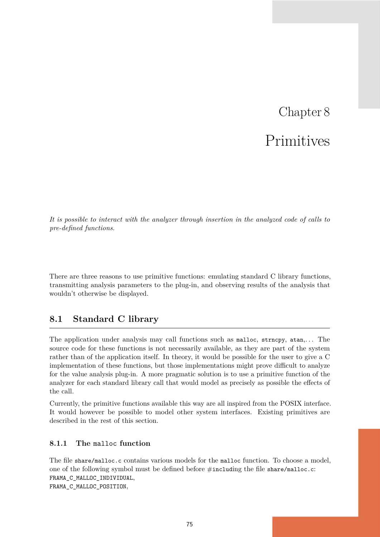# Chapter 8 Primitives

*It is possible to interact with the analyzer through insertion in the analyzed code of calls to pre-defined functions.*

There are three reasons to use primitive functions: emulating standard C library functions, transmitting analysis parameters to the plug-in, and observing results of the analysis that wouldn't otherwise be displayed.

# **8.1 Standard C library**

The application under analysis may call functions such as malloc, strncpy, atan,... The source code for these functions is not necessarily available, as they are part of the system rather than of the application itself. In theory, it would be possible for the user to give a C implementation of these functions, but those implementations might prove difficult to analyze for the value analysis plug-in. A more pragmatic solution is to use a primitive function of the analyzer for each standard library call that would model as precisely as possible the effects of the call.

Currently, the primitive functions available this way are all inspired from the POSIX interface. It would however be possible to model other system interfaces. Existing primitives are described in the rest of this section.

#### **8.1.1 The** malloc **function**

The file share/malloc.c contains various models for the malloc function. To choose a model, one of the following symbol must be defined before  $\#$ including the file share/malloc.c: FRAMA\_C\_MALLOC\_INDIVIDUAL, FRAMA\_C\_MALLOC\_POSITION,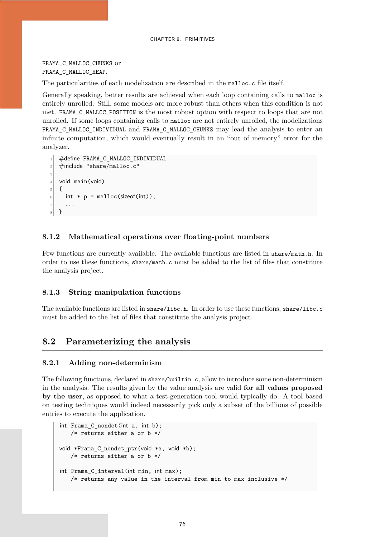FRAMA\_C\_MALLOC\_CHUNKS or FRAMA\_C\_MALLOC\_HEAP.

The particularities of each modelization are described in the malloc.c file itself.

Generally speaking, better results are achieved when each loop containing calls to malloc is entirely unrolled. Still, some models are more robust than others when this condition is not met. FRAMA\_C\_MALLOC\_POSITION is the most robust option with respect to loops that are not unrolled. If some loops containing calls to malloc are not entirely unrolled, the modelizations FRAMA C MALLOC INDIVIDUAL and FRAMA C MALLOC CHUNKS may lead the analysis to enter an infinite computation, which would eventually result in an "out of memory" error for the analyzer.

```
#define FRAMA_C_MALLOC_INDIVIDUAL
|2| #include "share/malloc.c"
3
_4 void main(void)
5 {
6 int * p = malloc(sizeof(int));
7
8 }
```
#### **8.1.2 Mathematical operations over floating-point numbers**

Few functions are currently available. The available functions are listed in share/math.h. In order to use these functions, share/math.c must be added to the list of files that constitute the analysis project.

#### **8.1.3 String manipulation functions**

The available functions are listed in share/libc.h. In order to use these functions, share/libc.c must be added to the list of files that constitute the analysis project.

## **8.2 Parameterizing the analysis**

#### **8.2.1 Adding non-determinism**

The following functions, declared in share/builtin.c, allow to introduce some non-determinism in the analysis. The results given by the value analysis are valid **for all values proposed by the user**, as opposed to what a test-generation tool would typically do. A tool based on testing techniques would indeed necessarily pick only a subset of the billions of possible entries to execute the application.

```
int Frama_C_nondet(int a, int b);
   /* returns either a or b */
void *Frama_C_nondet_ptr(void *a, void *b);
   /* returns either a or b */
int Frama_C_interval(int min, int max);
   /* returns any value in the interval from min to max inclusive */
```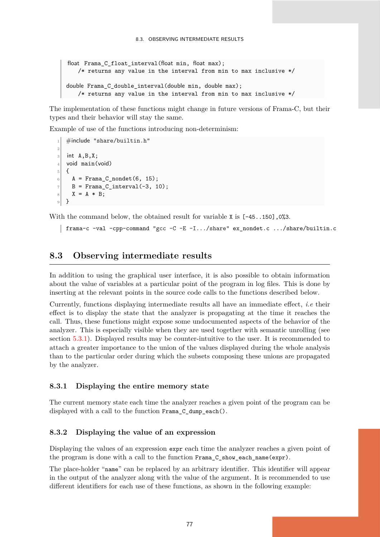```
float Frama C float interval(float min, float max);
   /* returns any value in the interval from min to max inclusive */
double Frama_C_double_interval(double min, double max);
   /* returns any value in the interval from min to max inclusive */
```
The implementation of these functions might change in future versions of Frama-C, but their types and their behavior will stay the same.

Example of use of the functions introducing non-determinism:

```
_1 #include "share/builtin.h"
2
3 int A, B, X;
4 void main(void)
5 {
6 A = Frama C nondet(6, 15);
7 B = Frama_C_interval(-3, 10);
8 X = A * B;
9 }
```
With the command below, the obtained result for variable X is [-45..150],0%3.

frama-c -val -cpp-command "gcc -C -E -I.../share" ex\_nondet.c .../share/builtin.c

### **8.3 Observing intermediate results**

In addition to using the graphical user interface, it is also possible to obtain information about the value of variables at a particular point of the program in log files. This is done by inserting at the relevant points in the source code calls to the functions described below.

Currently, functions displaying intermediate results all have an immediate effect, *i.e* their effect is to display the state that the analyzer is propagating at the time it reaches the call. Thus, these functions might expose some undocumented aspects of the behavior of the analyzer. This is especially visible when they are used together with semantic unrolling (see section [5.3.1\)](#page-58-0). Displayed results may be counter-intuitive to the user. It is recommended to attach a greater importance to the union of the values displayed during the whole analysis than to the particular order during which the subsets composing these unions are propagated by the analyzer.

#### **8.3.1 Displaying the entire memory state**

The current memory state each time the analyzer reaches a given point of the program can be displayed with a call to the function Frama C dump each().

#### **8.3.2 Displaying the value of an expression**

Displaying the values of an expression expr each time the analyzer reaches a given point of the program is done with a call to the function Frama\_C\_show\_each\_name(expr).

The place-holder "name" can be replaced by an arbitrary identifier. This identifier will appear in the output of the analyzer along with the value of the argument. It is recommended to use different identifiers for each use of these functions, as shown in the following example: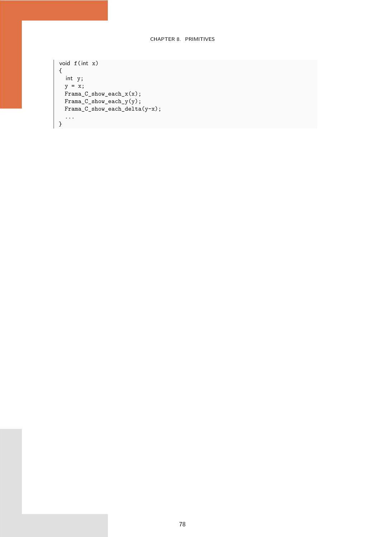#### CHAPTER 8. PRIMITIVES

```
void f(int x)
{
 int y;
 y = x;
 Frama_C_show_each_x(x);
  Frama_C_show_each_y(y);
  Frama_C_show_each_delta(y-x);
 ...
}
```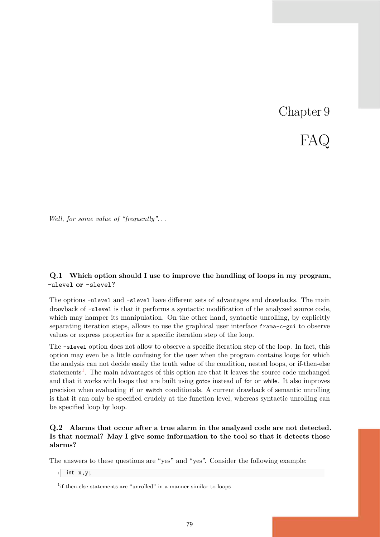# Chapter 9

# FAQ

*Well, for some value of "frequently". . .*

#### **Q.1 Which option should I use to improve the handling of loops in my program,** -ulevel **or** -slevel**?**

The options -ulevel and -slevel have different sets of advantages and drawbacks. The main drawback of -ulevel is that it performs a syntactic modification of the analyzed source code, which may hamper its manipulation. On the other hand, syntactic unrolling, by explicitly separating iteration steps, allows to use the graphical user interface frama-c-gui to observe values or express properties for a specific iteration step of the loop.

The -slevel option does not allow to observe a specific iteration step of the loop. In fact, this option may even be a little confusing for the user when the program contains loops for which the analysis can not decide easily the truth value of the condition, nested loops, or if-then-else statements<sup>[1](#page-78-0)</sup>. The main advantages of this option are that it leaves the source code unchanged and that it works with loops that are built using gotos instead of for or while . It also improves precision when evaluating if or switch conditionals. A current drawback of semantic unrolling is that it can only be specified crudely at the function level, whereas syntactic unrolling can be specified loop by loop.

#### **Q.2 Alarms that occur after a true alarm in the analyzed code are not detected. Is that normal? May I give some information to the tool so that it detects those alarms?**

The answers to these questions are "yes" and "yes". Consider the following example:

 $1$  int x,y;

<span id="page-78-0"></span><sup>&</sup>lt;sup>1</sup>if-then-else statements are "unrolled" in a manner similar to loops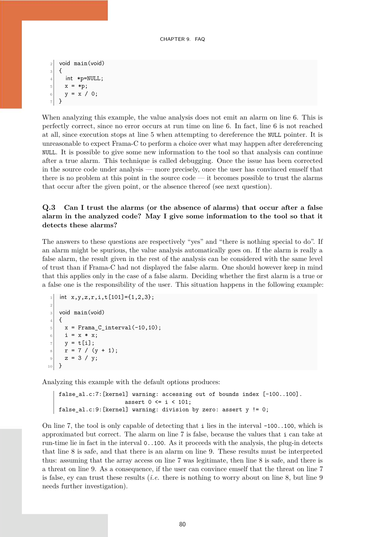```
2 void main(void)
3 \mid \mathbf{C}4 int *p=NULL;
5 \times = *p;6 y = x / 0;
|7| }
```
When analyzing this example, the value analysis does not emit an alarm on line 6. This is perfectly correct, since no error occurs at run time on line 6. In fact, line 6 is not reached at all, since execution stops at line 5 when attempting to dereference the NULL pointer. It is unreasonable to expect Frama-C to perform a choice over what may happen after dereferencing NULL. It is possible to give some new information to the tool so that analysis can continue after a true alarm. This technique is called debugging. Once the issue has been corrected in the source code under analysis — more precisely, once the user has convinced emself that there is no problem at this point in the source code — it becomes possible to trust the alarms that occur after the given point, or the absence thereof (see next question).

#### **Q.3 Can I trust the alarms (or the absence of alarms) that occur after a false alarm in the analyzed code? May I give some information to the tool so that it detects these alarms?**

The answers to these questions are respectively "yes" and "there is nothing special to do". If an alarm might be spurious, the value analysis automatically goes on. If the alarm is really a false alarm, the result given in the rest of the analysis can be considered with the same level of trust than if Frama-C had not displayed the false alarm. One should however keep in mind that this applies only in the case of a false alarm. Deciding whether the first alarm is a true or a false one is the responsibility of the user. This situation happens in the following example:

```
1 int x,y,z,r,i,t[101]=\{1,2,3\};\overline{2}3 void main(void)
4 \mid \mathbf{f}|5| x = Frama C interval(-10,10);
6 i = x * x;|7| y = t[i];
|8| r = 7 / (y + 1);
9 \mid z = 3 / y;_{10} }
```
Analyzing this example with the default options produces:

```
false_al.c:7:[kernel] warning: accessing out of bounds index [-100..100].
                    assert 0 \leq i \leq 101;
false_al.c:9:[kernel] warning: division by zero: assert y != 0;
```
On line 7, the tool is only capable of detecting that i lies in the interval -100..100, which is approximated but correct. The alarm on line 7 is false, because the values that i can take at run-time lie in fact in the interval 0..100. As it proceeds with the analysis, the plug-in detects that line 8 is safe, and that there is an alarm on line 9. These results must be interpreted thus: assuming that the array access on line 7 was legitimate, then line 8 is safe, and there is a threat on line 9. As a consequence, if the user can convince emself that the threat on line 7 is false, ey can trust these results (*i.e.* there is nothing to worry about on line 8, but line 9 needs further investigation).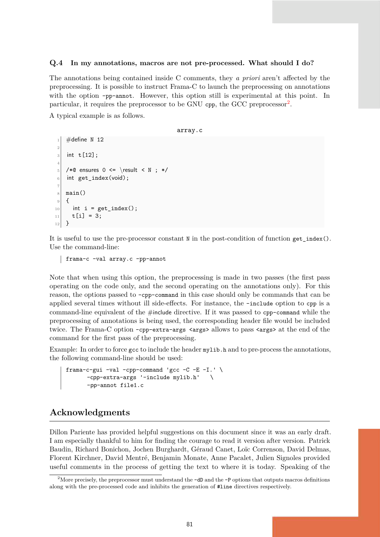#### **Q.4 In my annotations, macros are not pre-processed. What should I do?**

The annotations being contained inside C comments, they *a priori* aren't affected by the preprocessing. It is possible to instruct Frama-C to launch the preprocessing on annotations with the option -pp-annot. However, this option still is experimental at this point. In particular, it requires the preprocessor to be GNU cpp, the GCC preprocessor<sup>[2](#page-80-0)</sup>.

A typical example is as follows.

array.c

```
1 #define N 12
2
3 int t[12];
4
5 /*@ ensures 0 <= \result < N ; */
6 int get_index(void);
7
| main()
9 {
_{10} int i = get_index();
_{11} t[i] = 3;
12 }
```
It is useful to use the pre-processor constant N in the post-condition of function get\_index(). Use the command-line:

frama-c -val array.c -pp-annot

Note that when using this option, the preprocessing is made in two passes (the first pass operating on the code only, and the second operating on the annotations only). For this reason, the options passed to -cpp-command in this case should only be commands that can be applied several times without ill side-effects. For instance, the -include option to cpp is a command-line equivalent of the  $\#$ include directive. If it was passed to cpp-command while the preprocessing of annotations is being used, the corresponding header file would be included twice. The Frama-C option -cpp-extra-args  $\langle \text{args} \rangle$  allows to pass  $\langle \text{args} \rangle$  at the end of the command for the first pass of the preprocessing.

Example: In order to force gcc to include the header mylib.h and to pre-process the annotations, the following command-line should be used:

```
frama-c-gui -val -cpp-command 'gcc -C -E -I.' \setminus-cpp-extra-args '-include mylib.h' \
       -pp-annot file1.c
```
### **Acknowledgments**

Dillon Pariente has provided helpful suggestions on this document since it was an early draft. I am especially thankful to him for finding the courage to read it version after version. Patrick Baudin, Richard Bonichon, Jochen Burghardt, Géraud Canet, Loïc Correnson, David Delmas, Florent Kirchner, David Mentré, Benjamin Monate, Anne Pacalet, Julien Signoles provided useful comments in the process of getting the text to where it is today. Speaking of the

<span id="page-80-0"></span><sup>&</sup>lt;sup>2</sup>More precisely, the preprocessor must understand the -dD and the -P options that outputs macros definitions along with the pre-processed code and inhibits the generation of #line directives respectively.